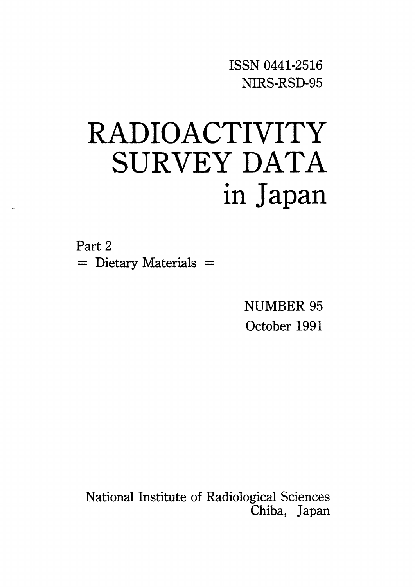ISSNO441-2516 NIRS-RSD-95

# RADIOACTIVITY SURVEY DATA in Japan

Part 2  $=$  Dietary Materials  $=$ 

> NUMBER 95 October 1991

National Institute of Radiological Sciences Chiba, Japan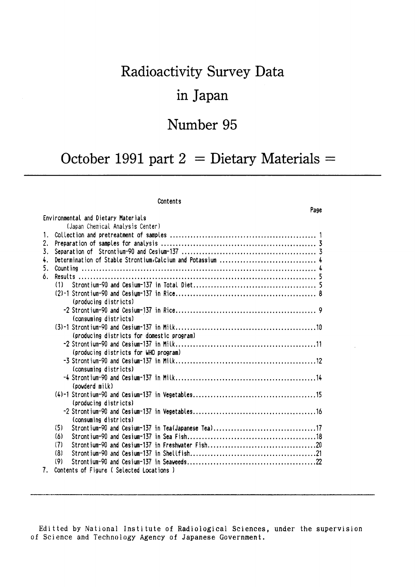# Radioactivity Survey Data in Japan

### Number 95

## October 1991 part  $2 =$  Dietary Materials =

Page

#### Contents

|                                | Environmental and Dietary Materials                       |
|--------------------------------|-----------------------------------------------------------|
|                                | (Japan Chemical Analysis Center)                          |
| 1.                             |                                                           |
| 2.                             |                                                           |
| 3.                             |                                                           |
| 4.                             |                                                           |
| 5.                             |                                                           |
| 6.                             |                                                           |
|                                | (1)                                                       |
|                                |                                                           |
|                                | (producing districts)                                     |
|                                |                                                           |
|                                | (consuming districts)                                     |
|                                |                                                           |
|                                | (producing districts for domestic program)                |
|                                |                                                           |
|                                | (producing districts for WHO program)                     |
|                                |                                                           |
|                                | (consuming districts)                                     |
|                                |                                                           |
|                                | (powderd milk)                                            |
|                                |                                                           |
|                                | (producing districts)                                     |
|                                |                                                           |
|                                | (consuming districts)                                     |
|                                | Strontium-90 and Cesium-137 in Tea(Japanese Tea)17<br>(5) |
|                                | (6)                                                       |
|                                | (7)                                                       |
|                                | (8)                                                       |
|                                | (9)                                                       |
| $7_{\scriptscriptstyle{\sim}}$ | Contents of Figure (Selected Locations)                   |

Editted by National Institute of Radiological Sciences, under the supervision of Science and Technology Agency of Japanese Government.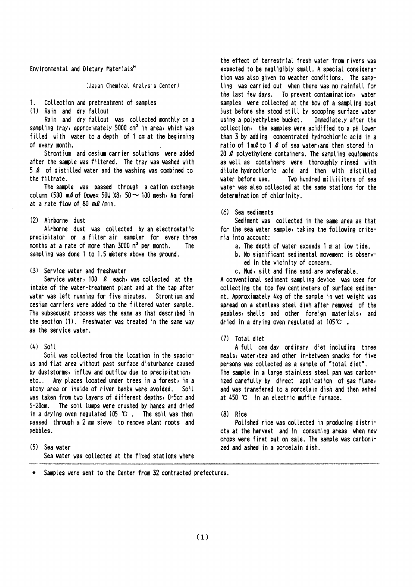#### Environmental and Dietary Materials\*

(Japan Chemical Analysis Center)

 $1<sup>1</sup>$ Collection and pretreatment of samples

(1) Rain and dry fallout

Rain and dry fallout was collected monthly on a sampling tray, approximately 5000 cm<sup>2</sup> in area, which was filled with water to a depth of 1 cm at the beginning of every month.

Strontium and cesium carrier solutions were added after the sample was filtered. The tray was washed with  $5$   $\ell$  of distilled water and the washing was combined to the filtrate.

The sample was passed through a cation exchange column (500 ml of Dowex 50W X8, 50  $\sim$  100 mesh, Na form) at a rate flow of 80  $m\ell$ /min.

#### (2) Airborne dust

Airborne dust was collected by an electrostatic precipitator or a filter air sampler for every three months at a rate of more than  $3000 \text{ m}^3$  per month. The sampling was done 1 to 1.5 meters above the ground.

#### (3) Service water and freshwater

Service water, 100  $\ell$  each, was collected at the intake of the vater-treatment plant and at the tap after vater was left running for five minutes. Strontium and cesium carriers were added to the filtered water sample. The subsequent process was the same as that described in the section (1). Freshwater was treated in the same way as the service water.

#### $(4)$  Sail

Soil was collected from the location in the spacious and flat area without past surface disturbance caused by duststorms, inflow and outflow due to precipitation, etc.. Any places located under trees in a forest, in a stony area or inside of river banks were avoided. Soil was taken from two layers of different depths, 0-5cm and 5-20cm. The soil lumps were crushed by hands and dried in a drying oven regulated 105  $\mathbb{C}$ . The soil was then passed through a 2 mm sieve to remove plant roots and pebbles.

(5) Sea water Sea water was collected at the fixed stations where the effect of terrestrial fresh water from rivers was expected to be negligibly small. A special consideration was also given to weather conditions. The sampling was carried out when there was no rainfall for the last few days. To prevent contamination, water samples were collected at the bow of a sampling boat just before she stood still by scooping surface water using a polyethylene bucket. Immediately after the collection, the samples were acidified to a pH lower than 3 by adding concentrated hydrochloric acid in a ratio of  $1 \text{ m2}$  to  $1 \text{ l2}$  of sea water, and then stored in 20  $\ell$  polyethylene containers. The sampling equipments as well as containers were thoroughly rinsed with dilute hydrochloric acid and then with distilled water before use. Two hundred milliliters of sea water was also collected at the same stations for the determination of chlorinity.

#### (6) Sea sediments

Sediment was collected in the same area as that for the sea water sample, taking the following criteria into account:

- a. The depth of water exceeds 1 m at low tide.
- b. No significant sedimental movement is observed in the vicinity of concern.
- c. Mud, silt and fine sand are preferable.

A conventional sediment sampling device was used for collecting the top few centimeters of surface sediment. Approximately 4kg of the sample in wet weight was spread on a stenless steel dish after removed of the pebbles, shells and other foreign materials, and dried in a drying oven regulated at  $105^\circ \text{C}$ .

#### (7) Total diet

A full one day ordinary diet including three meals, water, tea and other in-between snacks for five persons was collected as a sample of "total diet". The sample in a large stainless steel pan was carbonized carefully by direct application of gas flame, and was transfered to a porcelain dish and then ashed at  $450$  °C in an electric muffle furnace.

#### $(8)$  Rice

Polished rice was collected in producing districts at the harvest and in consuming areas when new crops were first put on sale. The sample was carbonized and ashed in a porcelain dish.

Samples were sent to the Center from 32 contracted prefectures.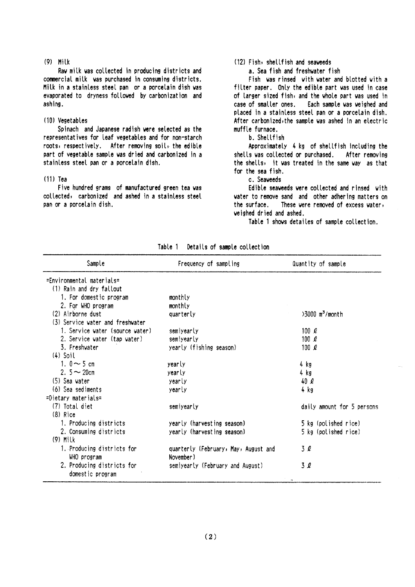#### $(9)$  Milk

Raw milk was collected in producing districts and commercial milk was purchased in consuming districts. Milk in a stainless steel pan or a porcelain dish was evaporated to dryness followed by carbonization and ashing.

#### (10) Vegetables

Spinach and Japanese radish were selected as the representatives for leaf vegetables and for non-starch roots, respectively. After removing soil, the edible part of vegetable sample was dried and carbonized in a stainless steel pan or a porcelain dish.

#### $(11)$  Tea

Five hundred grams of manufactured green tea was collected, carbonized and ashed in a stainless steel pan or a porcelain dish.

#### (12) Fish, shellfish and seaveeds

a. Sea fish and freshwater fish

Fish was rinsed with water and blotted with a filter paper. Only the edible part was used in case of larger sized fish, and the whole part was used in case of smaller ones. Each sample was weighed and placed in a stainless steel pan or a porcelain dish. After carbonized, the sample was ashed in an electric muffle furnace.

#### b. Shellfish

Approximately 4 kg of shellfish including the shells was collected or purchased. After removing the shells, it was treated in the same way as that for the sea fish.

c. Seaveeds

Edible seaweeds were collected and rinsed with water to remove sand and other adhering matters on the surface. These were removed of excess water, veighed dried and ashed.

Table 1 shows detailes of sample collection.

| Sample                           | Frequency of sampling                | Quantity of sample            |
|----------------------------------|--------------------------------------|-------------------------------|
| =Environmental materials=        |                                      |                               |
| (1) Rain and dry fallout         |                                      |                               |
| 1. For domestic program          | monthly                              |                               |
| 2. For WHO program               | monthly                              |                               |
| (2) Airborne dust                | quarterly                            | $>3000$ m <sup>3</sup> /month |
| (3) Service water and freshwater |                                      |                               |
| 1. Service water (source water)  | semiyearly                           | 100 $\ell$                    |
| 2. Service water (tap water)     | semiyearly                           | 100 $\ell$                    |
| 3. Freshvater                    | yearly (fishing season)              | 100 $\ell$                    |
| $(4)$ Soil                       |                                      |                               |
| 1. $0 \sim 5$ cm                 | yearly                               | 4 kg                          |
| 2. $5 - 20$ cm                   | yearly                               | 4 kg                          |
| (5) Sea water                    | yearly                               | 40Q                           |
| (6) Sea sediments                | yearly                               | 4 kg                          |
| =Dietary materials=              |                                      |                               |
| (7) Total diet                   | semiyearly                           | daily amount for 5 persons    |
| $(8)$ Rice                       |                                      |                               |
| 1. Producing districts           | yearly (harvesting season)           | 5 kg (polished rice)          |
| 2. Consuming districts           | yearly (harvesting season)           | 5 kg (polished rice)          |
| $(9)$ Milk                       |                                      |                               |
| 1. Producing districts for       | quarterly (February, May, August and | 3 Q                           |
| WHO program                      | November)                            |                               |
| 2. Producing districts for       | semiyearly (February and August)     | 3Q                            |
| domestic program                 |                                      |                               |

| Table 1 |  | Details of sample collection |  |  |  |
|---------|--|------------------------------|--|--|--|
|         |  |                              |  |  |  |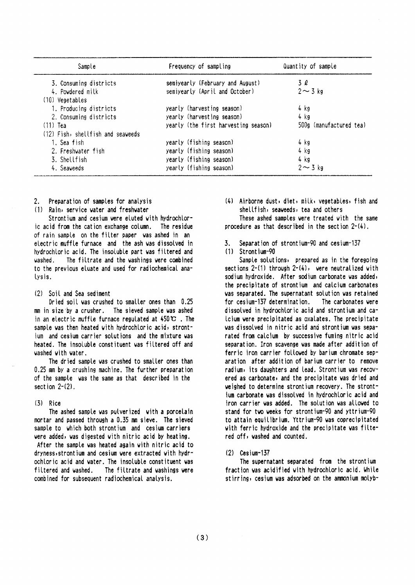| Sample                            | Frequency of sampling                | Quantity of sample      |  |  |
|-----------------------------------|--------------------------------------|-------------------------|--|--|
| 3. Consuming districts            | semiyearly (February and August)     | 3 l                     |  |  |
| 4. Powdered milk                  | semiyearly (April and October)       | $2 \sim 3$ kg           |  |  |
| (10) Vegetables                   |                                      |                         |  |  |
| 1. Producing districts            | yearly (harvesting season)           | 4 kg                    |  |  |
| 2. Consuming districts            | yearly (harvesting season)           | 4 kg                    |  |  |
| $(11)$ Tea                        | yearly (the first harvesting season) | 500g (manufactured tea) |  |  |
| (12) Fish, shellfish and seaveeds |                                      |                         |  |  |
| 1. Sea fish                       | yearly (fishing season)              | 4 kg                    |  |  |
| 2. Freshwater fish                | yearly (fishing season)              | 4 kg                    |  |  |
| 3. Shellfish                      | yearly (fishing season)              | 4 kg                    |  |  |
| 4. Seaweeds                       | yearly (fishing season)              | $2 \sim 3$ kg           |  |  |

- $2.$ Preparation of samples for analysis
- (1) Rain, service water and freshwater

Strontium and cesium were eluted with hydrochloric acid from the cation exchange column. The residue of rain sample on the filter paper was ashed in an electric muffle furnace and the ash was dissolved in hydrochloric acid. The insoluble part was filtered and The filtrate and the washings were combined uashed to the previous eluate and used for radiochemical analysis.

#### (2) Soil and Sea sediment

Dried soil was crushed to smaller ones than 0.25 mm in size by a crusher. The sieved sample was ashed in an electric muffle furnace regulated at  $450^\circ \text{C}$ . The sample was then heated with hydrochloric acid, strontjum and cesium carrier solutions and the mixture was heated. The insoluble constituent was filtered off and washed with water.

The dried sample was crushed to smaller ones than 0.25 mm by a crushing machine. The further preparation of the sample was the same as that described in the section  $2-(2)$ .

#### $(3)$  Rice

The ashed sample was pulverized with a porcelain mortar and passed through a 0.35 mm sieve. The sieved sample to which both strontium and cesium carriers were added, was digested with nitric acid by heating. After the sample was heated again with nitric acid to dryness, strontium and cesium were extracted with hydrochloric acid and water. The insoluble constituent was filtered and washed. The filtrate and washings were combined for subsequent radiochemical analysis.

(4) Airborne dust, diet, milk, vegetables, fish and shellfish, seaveeds, tea and others

These ashed samples were treated with the same procedure as that described in the section  $2-(4)$ .

- $\mathbf{z}$ Separation of strontium-90 and cesium-137
- $(1)$  Strontium-90

Sample solutions, prepared as in the foregoing sections  $2-(1)$  through  $2-(4)$ , were neutralized with sodium hydroxide. After sodium carbonate was added, the precipitate of strontium and calcium carbonates was separated. The supernatant solution was retained for cesium-137 determination. The carbonates vere dissolved in hydrochloric acid and strontium and ca-Icium vere precipitated as oxalates. The precipitate was dissolved in nitric acid and strontium was separated from calcium by successive fuming nitric acid separation. Iron scavenge was made after addition of ferric iron carrier followed by barium chromate separation after addition of barium carrier to remove radium, its daughters and lead. Strontium was recovered as carbonate, and the precipitate was dried and veighed to determine strontium recovery. The strontium carbonate was dissolved in hydrochloric acid and iron carrier was added. The solution was allowed to stand for two weeks for strontium-90 and yttrium-90 to attain equilibrium. Yttrium-90 was coprecipitated with ferric hydroxide and the precipitate was filtered off, washed and counted.

#### $(2)$  Cesium-137

The supernatant separated from the strontium fraction was acidified with hydrochloric acid. While stirring, cesium was adsorbed on the ammonium molyb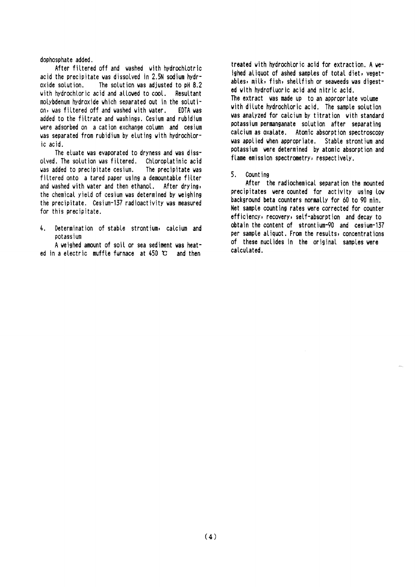dophosphate added.

After filtered off and washed with hydrochlotric acid the precipitate was dissolved in 2.5N sodium hydroxide solution. The solution was adjusted to pH 8.2 with hydrochloric acid and allowed to cool. Resultant molybdenum hydroxide which separated out in the solution, was filtered off and washed with water. EDTA vas added to the filtrate and washings. Cesium and rubidium vere adsorbed on a cation exchange column and cesium was separated from rubidium by eluting with hydrochloric acid.

The eluate was evaporated to dryness and was dissolved. The solution was filtered. Chloroplatinic acid was added to precipitate cesium. The precipitate was filtered onto a tared paper using a demountable filter and washed with water and then ethanol. After drying, the chemical yield of cesium was determined by weighing the precipitate. Cesium-137 radioactivity was measured for this precipitate.

Determination of stable strontium, calcium and  $\mathbf{L}$ potassium

A weighed amount of soil or sea sediment was heated in a electric muffle furnace at  $450$   $\degree$  and then

treated with hydrochloric acid for extraction. A weighed aliquot of ashed samples of total diet, yegetables, milk, fish, shellfish or seaweeds was digested with hydrofluoric acid and nitric acid. The extract was made up to an appropriate volume with dilute hydrochloric acid. The sample solution was analyzed for calcium by titration with standard potassium permanganate solution after separating calcium as oxalate. Atomic absorption spectroscopy was applied when appropriate. Stable strontium and potassium were determined by atomic absorption and flame emission spectrometry, respectively.

#### $5<sup>1</sup>$ Count ing

After the radiochemical separation the mounted precipitates were counted for activity using low background beta counters normally for 60 to 90 min. Net sample counting rates were corrected for counter efficiency, recovery, self-absorption and decay to obtain the content of strontium-90 and cesium-137 per sample aliguot. From the results, concentrations of these nuclides in the original samples were calculated.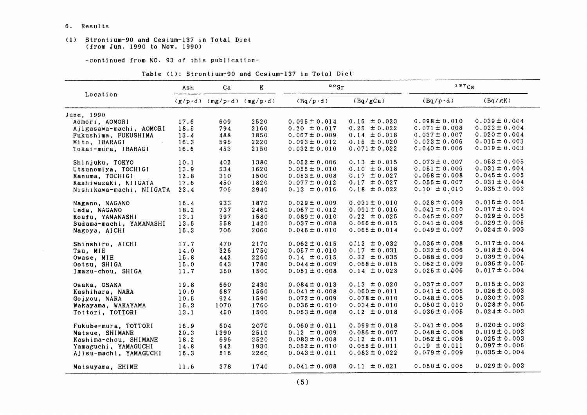6. Results

#### (1) Strontium-90 and Cesium-137in Total Diet (from Jun.1990 to Nov.1990)

-COntinued from NO.93 0f this publication-

|  |  | Table (1): Strontium-90 and Cesium-137 in Total Diet |  |  |  |  |  |
|--|--|------------------------------------------------------|--|--|--|--|--|
|--|--|------------------------------------------------------|--|--|--|--|--|

|                          | Ash  | Ca                                | K    | $\frac{88}{r}$    |                   | 137Cs             |                   |  |
|--------------------------|------|-----------------------------------|------|-------------------|-------------------|-------------------|-------------------|--|
| Location                 |      | $(g/p \cdot d)$ (mg/p·d) (mg/p·d) |      | $(Bq/p \cdot d)$  | (Bq/gCa)          | $(Bq/p \cdot d)$  | (Bq/gK)           |  |
| June, 1990               |      |                                   |      |                   |                   |                   |                   |  |
| Aomori, AOMORI           | 17.6 | 609                               | 2520 | $0.095 \pm 0.014$ | $0.16 \pm 0.023$  | $0.098 \pm 0.010$ | $0.039 \pm 0.004$ |  |
| Ajigasawa-machi, AOMORI  | 18.5 | 794                               | 2160 | $0.20 \pm 0.017$  | $0.25 \pm 0.022$  | $0.071 \pm 0.008$ | $0.033 \pm 0.004$ |  |
| Fukushima, FUKUSHIMA     | 13.4 | 488                               | 1850 | $0.067 \pm 0.009$ | $0.14 \pm 0.018$  | $0.037 \pm 0.007$ | $0.020 \pm 0.004$ |  |
| Mito, IBARAGI            | 16.3 | 595                               | 2220 | $0.093 \pm 0.012$ | $0.16 \pm 0.020$  | $0.033 \pm 0.006$ | $0.015 \pm 0.003$ |  |
| Tokai-mura, IBARAGI      | 16.6 | 453                               | 2150 | $0.032 \pm 0.010$ | $0.071 \pm 0.022$ | $0.040 \pm 0.006$ | $0.019 \pm 0.003$ |  |
| Shinjuku, TOKYO          | 10.1 | 402                               | 1380 | $0.052 \pm 0.006$ | $0.13 \pm 0.015$  | $0.073 \pm 0.007$ | $0.053 \pm 0.005$ |  |
| Utsunomiya, TOCHIGI      | 13.9 | 534                               | 1620 | $0.055 \pm 0.010$ | $0.10 \pm 0.018$  | $0.051 \pm 0.006$ | $0.031 \pm 0.004$ |  |
| Kanuma, TOCHIGI          | 12.8 | 310                               | 1500 | $0.053 \pm 0.008$ | $0.17 \pm 0.027$  | $0.068 \pm 0.008$ | $0.045 \pm 0.005$ |  |
| Kashiwazaki, NIIGATA     | 17.6 | 450                               | 1820 | $0.077 \pm 0.012$ | $0.17 \pm 0.027$  | $0.056 \pm 0.007$ | $0.031 \pm 0.004$ |  |
| Nishikawa-machi, NIIGATA | 23.4 | 706                               | 2940 | $0.13 \pm 0.016$  | $0.18 \pm 0.022$  | $0.10 \pm 0.010$  | $0.035 \pm 0.003$ |  |
| Nagano, NAGANO           | 16.4 | 933                               | 1870 | $0.029 \pm 0.009$ | $0.031 \pm 0.010$ | $0.028 \pm 0.009$ | $0.015 \pm 0.005$ |  |
| Ueda, NAGANO             | 18.2 | 737                               | 2460 | $0.067 \pm 0.012$ | $0.091 \pm 0.016$ | $0.041 \pm 0.010$ | $0.017 \pm 0.004$ |  |
| Koufu, YAMANASHI         | 13.1 | 397                               | 1580 | $0.089 \pm 0.010$ | $0.22 \pm 0.025$  | $0.046 \pm 0.007$ | $0.029 \pm 0.005$ |  |
| Sudama-machi, YAMANASHI  | 13.5 | 558                               | 1420 | $0.037 \pm 0.008$ | $0.066 \pm 0.015$ | $0.041 \pm 0.008$ | $0.029 \pm 0.005$ |  |
| Nagoya, AICHI            | 15.3 | 706                               | 2060 | $0.046 \pm 0.010$ | $0.065 \pm 0.014$ | $0.049 \pm 0.007$ | $0.024 \pm 0.003$ |  |
| Shinshiro, AICHI         | 17.7 | 470                               | 2170 | $0.062 \pm 0.015$ | $0.13 \pm 0.032$  | $0.036 \pm 0.008$ | $0.017 \pm 0.004$ |  |
| Tsu, MIE                 | 14.0 | 326                               | 1750 | $0.057 \pm 0.010$ | $0.17 \pm 0.031$  | $0.032 \pm 0.006$ | $0.018 \pm 0.004$ |  |
| Owase, MIE               | 15.8 | 442                               | 2260 | $0.14 \pm 0.015$  | $0.32 \pm 0.035$  | $0.088 \pm 0.009$ | $0.039 \pm 0.004$ |  |
| Ootsu, SHIGA             | 15.0 | 643                               | 1780 | $0.044 \pm 0.009$ | $0.068 \pm 0.015$ | $0.062 \pm 0.009$ | $0.035 \pm 0.005$ |  |
| Imazu-chou, SHIGA        | 11.7 | 350                               | 1500 | $0.051 \pm 0.008$ | $0.14 \pm 0.023$  | $0.025 \pm 0.006$ | $0.017 \pm 0.004$ |  |
| Osaka, OSAKA             | 19.8 | 660                               | 2430 | $0.084 \pm 0.013$ | $0.13 \pm 0.020$  | $0.037 \pm 0.007$ | $0.015 \pm 0.003$ |  |
| Kashihara, NARA          | 10.9 | 687                               | 1560 | $0.041 \pm 0.008$ | $0.060 \pm 0.011$ | $0.041 \pm 0.005$ | $0.026 \pm 0.003$ |  |
| Gojyou, NARA             | 10.5 | 924                               | 1590 | $0.072 \pm 0.009$ | $0.078 \pm 0.010$ | $0.048 \pm 0.005$ | $0.030 \pm 0.003$ |  |
| Wakayama, WAKAYAMA       | 16.3 | 1070                              | 1760 | $0.036 \pm 0.010$ | $0.034 \pm 0.010$ | $0.050 \pm 0.010$ | $0.028 \pm 0.006$ |  |
| Tottori, TOTTORI         | 13.1 | 450                               | 1500 | $0.053 \pm 0.008$ | $0.12 \pm 0.018$  | $0.036 \pm 0.005$ | $0.024 \pm 0.003$ |  |
| Fukube-mura, TOTTORI     | 16.9 | 604                               | 2070 | $0.060 \pm 0.011$ | $0.099 \pm 0.018$ | $0.041 \pm 0.006$ | $0.020 \pm 0.003$ |  |
| Matsue, SHIMANE          | 20.3 | 1390                              | 2510 | $0.12 \pm 0.009$  | $0.086 \pm 0.007$ | $0.048 \pm 0.008$ | $0.019 \pm 0.003$ |  |
| Kashima-chou, SHIMANE    | 18.2 | 696                               | 2520 | $0.083 \pm 0.008$ | $0.12 \pm 0.011$  | $0.062 \pm 0.008$ | $0.025 \pm 0.003$ |  |
| Yamaguchi, YAMAGUCHI     | 14.8 | 942                               | 1930 | $0.052 \pm 0.010$ | $0.055 \pm 0.011$ | $0.19 \pm 0.011$  | $0.097 \pm 0.006$ |  |
| Ajisu-machi, YAMAGUCHI   | 16.3 | 516                               | 2260 | $0.043 \pm 0.011$ | $0.083 \pm 0.022$ | $0.079 \pm 0.009$ | $0.035 \pm 0.004$ |  |
| Matsuyama, EHIME         | 11.6 | 378                               | 1740 | $0.041 \pm 0.008$ | $0.11 \pm 0.021$  | $0.050 \pm 0.005$ | $0.029 \pm 0.003$ |  |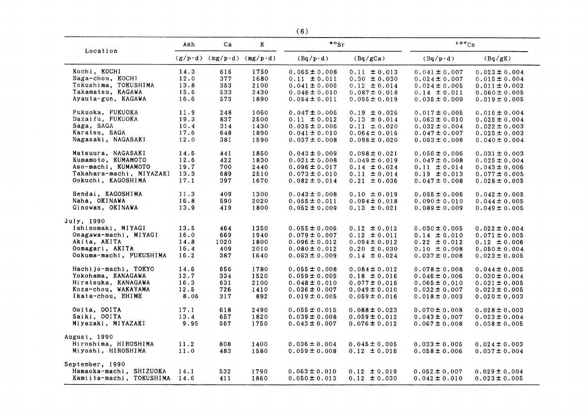|                          |      |                                   |             | (6)                |                   |                   |                   |
|--------------------------|------|-----------------------------------|-------------|--------------------|-------------------|-------------------|-------------------|
| Location                 | Ash  | Ca                                | $\mathbf K$ | $\cdot$ $\cdot$ sr |                   | 137Cs             |                   |
|                          |      | $(g/p \cdot d)$ (mg/p·d) (mg/p·d) |             | $(Bq/p \cdot d)$   | (Bq/gCa)          | $(Bq/p \cdot d)$  | (Bq/gK)           |
| Kochi, KOCHI             | 14.3 | 616                               | 1750        | $0.065 \pm 0.008$  | $0.11 \pm 0.013$  | $0.041 \pm 0.007$ | $0.023 \pm 0.004$ |
| Saga-chou, KOCHI         | 12.0 | 377                               | 1680        | $0.11 \pm 0.011$   | $0.30 \pm 0.030$  | $0.024 \pm 0.007$ | $0.015 \pm 0.004$ |
| Tokushima, TOKUSHIMA     | 13.8 | 353                               | 2100        | $0.041 \pm 0.005$  | $0.12 \pm 0.014$  | $0.024 \pm 0.005$ | $0.011 \pm 0.002$ |
| Takamatsu, KAGAWA        | 15.6 | 533                               | 2430        | $0.046 \pm 0.010$  | $0.087 \pm 0.018$ | $0.14 \pm 0.011$  | $0.060 \pm 0.005$ |
| Ayauta-gun, KAGAWA       | 16.6 | 573                               | 1890        | $0.054 \pm 0.011$  | $0.095 \pm 0.019$ | $0.035 \pm 0.009$ | $0.019 \pm 0.005$ |
| Fukuoka, FUKUOKA         | 11.9 | 248                               | 1060        | $0.047 \pm 0.006$  | $0.19 \pm 0.026$  | $0.017 \pm 0.005$ | $0.016 \pm 0.004$ |
| Dazaifu, FUKUOKA         | 19.3 | 837                               | 2500        | $0.11 \pm 0.012$   | $0.13 \pm 0.014$  | $0.063 \pm 0.010$ | $0.025 \pm 0.004$ |
| Saga, SAGA               | 10.4 | 314                               | 1430        | $0.035 \pm 0.006$  | $0.11 \pm 0.020$  | $0.032 \pm 0.004$ | $0.022 \pm 0.003$ |
| Karatsu, SAGA            | 17.6 | 648                               | 1890        | $0.041 \pm 0.010$  | $0.064 \pm 0.016$ | $0.047 \pm 0.007$ | $0.025 \pm 0.003$ |
| Nagasaki, NAGASAKI       | 12.0 | 381                               | 1590        | $0.037 \pm 0.008$  | $0.098 \pm 0.020$ | $0.063 \pm 0.006$ | $0.040 \pm 0.004$ |
| Matsuura, NAGASAKI       | 14.6 | 441                               | 1850        | $0.043 \pm 0.009$  | $0.098 \pm 0.021$ | $0.056 \pm 0.006$ | $0.031 \pm 0.003$ |
| Kumamoto, KUMAMOTO       | 12.6 | 422                               | 1830        | $0.021 \pm 0.008$  | $0.049 \pm 0.019$ | $0.047 \pm 0.008$ | $0.025 \pm 0.004$ |
| Aso-machi, KUMAMOTO      | 19.7 | 700                               | 2440        | $0.096 \pm 0.017$  | $0.14 \pm 0.024$  | $0.11 \pm 0.014$  | $0.043 \pm 0.006$ |
| Takahara-machi, MIYAZAKI | 13.3 | 689                               | 2510        | $0.073 \pm 0.010$  | $0.11 \pm 0.014$  | $0.19 \pm 0.013$  | $0.077 \pm 0.005$ |
| Ookuchi, KAGOSHIMA       | 17.1 | 397                               | 1670        | $0.082 \pm 0.014$  | $0.21 \pm 0.036$  | $0.047 \pm 0.008$ | $0.028 \pm 0.005$ |
| Sendai, KAGOSHIMA        | 11.3 | 409                               | 1300        | $0.043 \pm 0.008$  | $0.10 \pm 0.019$  | $0.055 \pm 0.006$ | $0.042 \pm 0.005$ |
| Naha, OKINAWA            | 16.8 | 590                               | 2020        | $0.055 \pm 0.011$  | $0.094 \pm 0.018$ | $0.090 \pm 0.010$ | $0.044 \pm 0.005$ |
| Ginowan, OKINAWA         | 13.9 | 419                               | 1800        | $0.052 \pm 0.009$  | $0.13 \pm 0.021$  | $0.089 \pm 0.009$ | $0.049 \pm 0.005$ |
| July, 1990               |      |                                   |             |                    |                   |                   |                   |
| Ishinomaki, MIYAGI       | 13.5 | 464                               | 1350        | $0.055 \pm 0.006$  | $0.12 \pm 0.012$  | $0.030 \pm 0.005$ | $0.022 \pm 0.004$ |
| Onagawa-machi, MIYAGI    | 16.0 | 669                               | 1940        | $0.079 \pm 0.007$  | $0.12 \pm 0.011$  | $0.14 \pm 0.010$  | $0.071 \pm 0.005$ |
| Akita, AKITA             | 14.8 | 1020                              | 1800        | $0.096 \pm 0.012$  | $0.094 \pm 0.012$ | $0.22 \pm 0.012$  | $0.12 \pm 0.006$  |
| Oomagari, AKITA          | 16.4 | 409                               | 2010        | $0.080 \pm 0.012$  | $0.20 \pm 0.030$  | $0.10 \pm 0.008$  | $0.050 \pm 0.004$ |
| Ookuma-machi, FUKUSHIMA  | 16.2 | 387                               | 1640        | $0.053 \pm 0.009$  | $0.14 \pm 0.024$  | $0.037 \pm 0.008$ | $0.023 \pm 0.005$ |
| Hachijo-machi, TOKYO     | 14.6 | 656                               | 1780        | $0.055 \pm 0.008$  | $0.084 \pm 0.012$ | $0.078 \pm 0.008$ | $0.044 \pm 0.005$ |
| Yokohama, KANAGAWA       | 12.7 | 334                               | 1520        | $0.059 \pm 0.005$  | $0.18 \pm 0.016$  | $0.046 \pm 0.006$ | $0.030 \pm 0.004$ |
| Hiratsuka, KANAGAWA      | 16.3 | 631                               | 2100        | $0.048 \pm 0.010$  | $0.077 \pm 0.016$ | $0.065 \pm 0.010$ | $0.031 \pm 0.005$ |
| Koza-chou, WAKAYAMA      | 12.5 | 726                               | 1410        | $0.036 \pm 0.007$  | $0.049 \pm 0.010$ | $0.032 \pm 0.007$ | $0.023 \pm 0.005$ |
| Ikata-chou, EHIME        | 8.06 | 317                               | 892         | $0.019 \pm 0.005$  | $0.059 \pm 0.016$ | $0.018 \pm 0.003$ | $0.020 \pm 0.003$ |
| Ooita, OOITA             | 17.1 | 618                               | 2490        | $0.055 \pm 0.015$  | $0.088 \pm 0.023$ | $0.070 \pm 0.008$ | $0.028 \pm 0.003$ |
| Saiki, OOITA             | 13.4 | 657                               | 1820        | $0.039 \pm 0.008$  | $0.059 \pm 0.012$ | $0.043 \pm 0.007$ | $0.023 \pm 0.004$ |
| Miyazaki, MIYAZAKI       | 9.95 | 567                               | 1750        | $0.043 \pm 0.007$  | $0.076 \pm 0.012$ | $0.067 \pm 0.008$ | $0.038 \pm 0.005$ |
| August, 1990             |      |                                   |             |                    |                   |                   |                   |
| Hiroshima, HIROSHIMA     | 11.2 | 808                               | 1400        | $0.036 \pm 0.004$  | $0.045 \pm 0.005$ | $0.033 \pm 0.005$ | $0.024 \pm 0.003$ |
| Miyoshi, HIROSHIMA       | 11.0 | 483                               | 1580        | $0.059 \pm 0.008$  | $0.12 \pm 0.016$  | $0.058 \pm 0.006$ | $0.037 \pm 0.004$ |
| September, 1990          |      |                                   |             |                    |                   |                   |                   |
| Hamaoka-machi, SHIZUOKA  | 14.1 | 532                               | 1790        | $0.063 \pm 0.010$  | $0.12 \pm 0.019$  | $0.052 \pm 0.007$ | $0.029 \pm 0.004$ |
| Kamiita-machi, TOKUSHIMA | 14.6 | 411                               | 1860        | $0.050 \pm 0.013$  | $0.12 \pm 0.030$  | $0.042 \pm 0.010$ | $0.023 \pm 0.005$ |
|                          |      |                                   |             |                    |                   |                   |                   |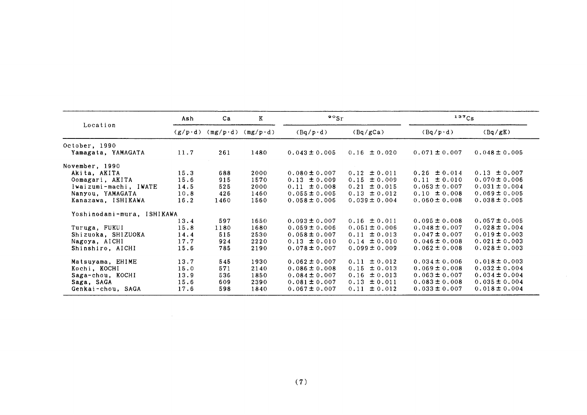|                            | Ash             | Ca               | K                | $\mathbf{P} \circ \mathbf{S}$ r |                     | $137C_S$          |                   |
|----------------------------|-----------------|------------------|------------------|---------------------------------|---------------------|-------------------|-------------------|
| Location                   | $(g/p \cdot d)$ | $(mg/p \cdot d)$ | $(mg/p \cdot d)$ | $(Bq/p \cdot d)$                | (Bq/gCa)            | $(Bq/p \cdot d)$  | (Bq/gK)           |
| October, 1990              |                 |                  |                  |                                 |                     |                   |                   |
| Yamagata, YAMAGATA         | 11.7            | 261              | 1480             | $0.043 \pm 0.005$               | $0.16 \pm 0.020$    | $0.071 \pm 0.007$ | $0.048 \pm 0.005$ |
| November, 1990             |                 |                  |                  |                                 |                     |                   |                   |
| Akita, AKITA               | 15.3            | 688              | 2000             | $0.080 \pm 0.007$               | $0.12 \pm 0.011$    | $0.26 \pm 0.014$  | $0.13 \pm 0.007$  |
| Oomagari, AKITA            | 15.6            | 915              | 1570             | $0.13 \pm 0.009$                | $0.15 \pm 0.009$    | $0.11 \pm 0.010$  | $0.070 \pm 0.006$ |
| Iwaizumi-machi, IWATE      | 14.5            | 525              | 2000             | $0.11 \pm 0.008$                | $0.21 \pm 0.015$    | $0.063 \pm 0.007$ | $0.031 \pm 0.004$ |
| Nanyou, YAMAGATA           | 10.8            | 426              | 1460             | $0.055 \pm 0.005$               | $0.13 \pm 0.012$    | $0.10 \pm 0.008$  | $0.069 \pm 0.005$ |
| Kanazawa, ISHIKAWA         | 16.2            | 1460             | 1560             | $0.058 \pm 0.006$               | $0.039 \pm 0.004$   | $0.060 \pm 0.008$ | $0.038 \pm 0.005$ |
| Yoshinodani-mura, ISHIKAWA |                 |                  |                  |                                 |                     |                   |                   |
|                            | 13.4            | 597              | 1650             | $0.093 \pm 0.007$               | $0.16 \pm 0.011$    | $0.095 \pm 0.008$ | $0.057 \pm 0.005$ |
| Turuga, FUKUI              | 15.8            | 1180             | 1680             | $0.059 \pm 0.006$               | $0.051 \pm 0.006$   | $0.048 \pm 0.007$ | $0.028 \pm 0.004$ |
| Shizuoka, SHIZUOKA         | 14.4            | 515              | 2530             | $0.058 \pm 0.007$               | $0.11 \pm 0.013$    | $0.047 \pm 0.007$ | $0.019 \pm 0.003$ |
| Nagoya, AICHI              | 17.7            | 924              | 2220             | $0.13 \pm 0.010$                | $0.14 \pm 0.010$    | $0.046 \pm 0.008$ | $0.021 \pm 0.003$ |
| Shinshiro, AICHI           | 15.6            | 785              | 2190             | $0.078 \pm 0.007$               | $0.099 \pm 0.009$   | $0.062 \pm 0.008$ | $0.028 \pm 0.003$ |
| Matsuyama, EHIME           | 13.7            | 545              | 1930             | $0.062 \pm 0.007$               | $0.11 \pm 0.012$    | $0.034 \pm 0.006$ | $0.018 \pm 0.003$ |
| Kochi, KOCHI               | 15.0            | 571              | 2140             | $0.086 \pm 0.008$               | $0.15 \pm 0.013$    | $0.069 \pm 0.008$ | $0.032 \pm 0.004$ |
| Saga-chou, KOCHI           | 13.9            | 536              | 1850             | $0.084 \pm 0.007$               | $\pm 0.013$<br>0.16 | $0.063 \pm 0.007$ | $0.034 \pm 0.004$ |
| Saga, SAGA                 | 15.6            | 609              | 2390             | $0.081 \pm 0.007$               | ± 0.011<br>0.13     | $0.083 \pm 0.008$ | $0.035 \pm 0.004$ |
| Genkai-chou, SAGA          | 17.6            | 598              | 1840             | $0.067 \pm 0.007$               | ± 0.012<br>0.11     | $0.033 \pm 0.007$ | $0.018 \pm 0.004$ |

 $\sim$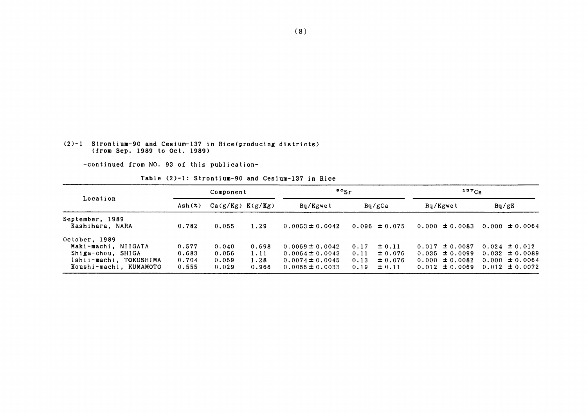#### (2)-1 Strontium-90 and Cesium-137in Rice(producing districts) (from Sep.1989 to Oct.1989)

-COntinued from NO.93 0f this publication-

Table (2)-1: Strontium-90 and Cesium-137 in Rice

|                                    | Component |                      |       | $\frac{80}{5}$ r    |      |                   | $137C_S$           |                    |  |
|------------------------------------|-----------|----------------------|-------|---------------------|------|-------------------|--------------------|--------------------|--|
| Location                           | Ash(X)    | $Ca(g/Kg)$ $K(g/Kg)$ |       | Bq/Kgwet            |      | Bq/gCa            | Bq/Kgwet           | Bq/gK              |  |
| September, 1989<br>Kashihara, NARA | 0.782     | 0.055                | 1.29  | $0.0053 \pm 0.0042$ |      | $0.096 \pm 0.075$ | $0.000 \pm 0.0083$ | $0.000 \pm 0.0064$ |  |
| October, 1989                      |           |                      |       |                     |      |                   |                    |                    |  |
| Maki-machi, NIIGATA                | 0.577     | 0.040                | 0.698 | $0.0069 \pm 0.0042$ | 0.17 | ± 0.11            | $0.017 \pm 0.0087$ | $0.024 \pm 0.012$  |  |
| Shiga-chou, SHIGA                  | 0.683     | 0.056                | 1.11  | $0.0064 \pm 0.0043$ | 0.11 | ± 0.076           | $0.035 \pm 0.0099$ | $0.032 \pm 0.0089$ |  |
| Ishii-machi, TOKUSHIMA             | 0.704     | 0.059                | 1.28  | $0.0074 \pm 0.0045$ | 0.13 | ± 0.076           | $0.000 \pm 0.0082$ | $0.000 \pm 0.0064$ |  |
| Koushi-machi, KUMAMOTO             | 0.555     | 0.029                | 0.966 | $0.0055 \pm 0.0033$ | 0.19 | ± 0.11            | $0.012 \pm 0.0069$ | $0.012 \pm 0.0072$ |  |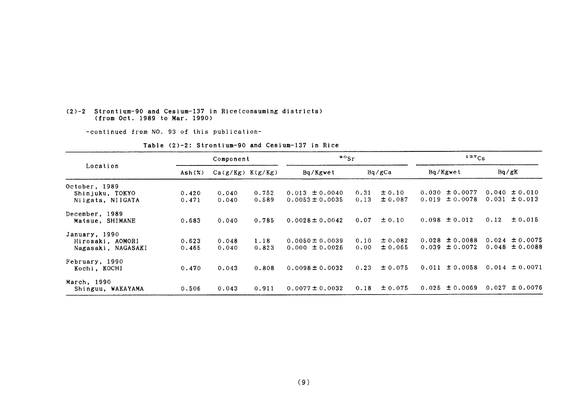#### (2)-2 Strontium-90 and Cesium-137 in Rice(consuming districts) (from Oct.1989 to Mar.1990)

-continued from NO. 93 of this publication-

|                                                         |                 | Component            |                | $\frac{90}{5}$                            |              |                       | $137C_S$                                 |                                          |  |
|---------------------------------------------------------|-----------------|----------------------|----------------|-------------------------------------------|--------------|-----------------------|------------------------------------------|------------------------------------------|--|
| Location                                                | $\text{Ash}(x)$ | $Ca(g/Kg)$ $K(g/Kg)$ |                | Bq/Kgwet                                  | Bq/gCa       |                       | Bq/Kgwet                                 | Bq/gK                                    |  |
| October, 1989                                           |                 |                      |                |                                           |              |                       |                                          |                                          |  |
| Shinjuku, TOKYO<br>Niigata, NIIGATA                     | 0.420<br>0.471  | 0.040<br>0.040       | 0.752<br>0.589 | $0.013 \pm 0.0040$<br>$0.0053 \pm 0.0035$ | 0.31<br>0.13 | $\pm 0.10$<br>± 0.087 | $0.030 \pm 0.0077$<br>$0.019 \pm 0.0078$ | $0.040 \pm 0.010$<br>$0.031 \pm 0.013$   |  |
| December, 1989<br>Matsue, SHIMANE                       | 0.683           | 0.040                | 0.785          | $0.0028 \pm 0.0042$                       | 0.07         | $\pm 0.10$            | $0.098 \pm 0.012$                        | 0.12<br>± 0.015                          |  |
| January, 1990<br>Hirosaki, AOMORI<br>Nagasaki, NAGASAKI | 0.623<br>0.465  | 0.048<br>0.040       | 1.18<br>0.823  | $0.0050 \pm 0.0039$<br>$0.000 \pm 0.0026$ | 0.10<br>0.00 | ± 0.082<br>± 0.065    | $0.028 \pm 0.0088$<br>$0.039 \pm 0.0072$ | $0.024 \pm 0.0075$<br>$0.048 \pm 0.0088$ |  |
| February, 1990<br>Kochi, KOCHI                          | 0.470           | 0.043                | 0.808          | $0.0098 \pm 0.0032$                       | 0.23         | ± 0.075               | ± 0.0058<br>0.011                        | $0.014 \pm 0.0071$                       |  |
| March, 1990<br>Shinguu, WAKAYAMA                        | 0.506           | 0.043                | 0.911          | $0.0077 \pm 0.0032$                       | 0.18         | ± 0.075               | $0.025 \pm 0.0069$                       | $0.027 \pm 0.0076$                       |  |

Table  $(2)-2$ : Strontium-90 and Cesium-137 in Rice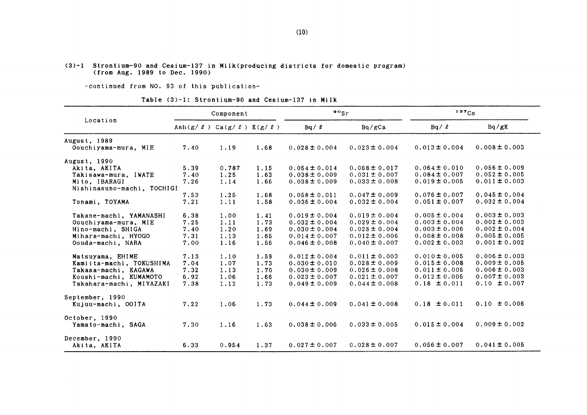#### (3)-1 Strontiun-90 and Cesium-137in Milk(producing districts for domestic program) (from Aug.1989 to Dee.1990)

-continued from NO. 93 of this publication-

 $\sim 10^7$ 

Table (3)-1: Strontium-90 and Cesium-137 in Milk

|                            |                                                 | Component |      | $\bullet \circ$ <sub>Sr</sub> |                   | 137Cs             |                   |  |
|----------------------------|-------------------------------------------------|-----------|------|-------------------------------|-------------------|-------------------|-------------------|--|
| Location                   | Ash $(g / \ell)$ Ca $(g / \ell)$ K $(g / \ell)$ |           |      | $Bq / \ell$                   | Bq/gCa            | $Bq / \ell$       | Bq/gK             |  |
| August, 1989               |                                                 |           |      |                               |                   |                   |                   |  |
| Oouchiyama-mura, MIE       | 7.40                                            | 1.19      | 1.68 | $0.028 \pm 0.004$             | $0.023 \pm 0.004$ | $0.013 \pm 0.004$ | $0.008 \pm 0.003$ |  |
| August, 1990               |                                                 |           |      |                               |                   |                   |                   |  |
| Akita, AKITA               | 5.39                                            | 0.787     | 1.15 | $0.054 \pm 0.014$             | $0.068 \pm 0.017$ | $0.064 \pm 0.010$ | $0.056 \pm 0.009$ |  |
| Takisawa-mura, IWATE       | 7.40                                            | 1.25      | 1.63 | $0.038 \pm 0.009$             | $0.031 \pm 0.007$ | $0.084 \pm 0.007$ | $0.052 \pm 0.005$ |  |
| Mito, IBARAGI              | 7.26                                            | 1.14      | 1.66 | $0.038 \pm 0.009$             | $0.033 \pm 0.008$ | $0.019 \pm 0.005$ | $0.011 \pm 0.003$ |  |
| Nishinasuno-machi, TOCHIGI |                                                 |           |      |                               |                   |                   |                   |  |
|                            | 7.53                                            | 1.25      | 1.68 | $0.058 \pm 0.011$             | $0.047 \pm 0.009$ | $0.076 \pm 0.007$ | $0.045 \pm 0.004$ |  |
| Tonami, TOYAMA             | 7.21                                            | 1.11      | 1.58 | $0.036 \pm 0.004$             | $0.032 \pm 0.004$ | $0.051 \pm 0.007$ | $0.032 \pm 0.004$ |  |
| Takane-machi, YAMANASHI    | 6.38                                            | 1.00      | 1.41 | $0.019 \pm 0.004$             | $0.019 \pm 0.004$ | $0.005 \pm 0.004$ | $0.003 \pm 0.003$ |  |
| Oouchiyama-mura, MIE       | 7.25                                            | 1.11      | 1.73 | $0.032 \pm 0.004$             | $0.029 \pm 0.004$ | $0.003 \pm 0.004$ | $0.002 \pm 0.003$ |  |
| Hino-machi, SHIGA          | 7.40                                            | 1.20      | 1.69 | $0.030 \pm 0.004$             | $0.025 \pm 0.004$ | $0.003 \pm 0.006$ | $0.002 \pm 0.004$ |  |
| Mihara-machi, HYOGO        | 7.31                                            | 1.13      | 1.65 | $0.014 \pm 0.007$             | $0.012 \pm 0.006$ | $0.008 \pm 0.008$ | $0.005 \pm 0.005$ |  |
| Oouda-machi, NARA          | 7.00                                            | 1.16      | 1.56 | $0.046 \pm 0.008$             | $0.040 \pm 0.007$ | $0.002 \pm 0.003$ | $0.001 \pm 0.002$ |  |
| Matsuyama, EHIME           | 7.13                                            | 1.10      | 1.59 | $0.012 \pm 0.004$             | $0.011 \pm 0.003$ | $0.010 \pm 0.005$ | $0.006 \pm 0.003$ |  |
| Kamiita-machi, TOKUSHIMA   | 7.04                                            | 1.07      | 1.73 | $0.030 \pm 0.010$             | $0.028 \pm 0.009$ | $0.015 \pm 0.008$ | $0.009 \pm 0.005$ |  |
| Takasa-machi, KAGAWA       | 7.32                                            | 1.13      | 1.70 | $0.030 \pm 0.009$             | $0.026 \pm 0.008$ | $0.011 \pm 0.005$ | $0.006 \pm 0.003$ |  |
| Koushi-machi, KUMAMOTO     | 6.92                                            | 1.06      | 1.66 | $0.023 \pm 0.007$             | $0.021 \pm 0.007$ | $0.012 \pm 0.005$ | $0.007 \pm 0.003$ |  |
| Takahara-machi, MIYAZAKI   | 7.38                                            | 1.12      | 1.73 | $0.049 \pm 0.009$             | $0.044 \pm 0.008$ | $0.18 \pm 0.011$  | $0.10 \pm 0.007$  |  |
| September, 1990            |                                                 |           |      |                               |                   |                   |                   |  |
| Kujuu-machi, OOITA         | 7.22                                            | 1.06      | 1.73 | $0.044 \pm 0.009$             | $0.041 \pm 0.008$ | $0.18 \pm 0.011$  | $0.10 \pm 0.006$  |  |
| October, 1990              |                                                 |           |      |                               |                   |                   |                   |  |
| Yamato-machi, SAGA         | 7.30                                            | 1.16      | 1.63 | $0.038 \pm 0.006$             | $0.033 \pm 0.005$ | $0.015 \pm 0.004$ | $0.009 \pm 0.002$ |  |
| December, 1990             |                                                 |           |      |                               |                   |                   |                   |  |
| Akita. AKITA               | 6.33                                            | 0.954     | 1.37 | $0.027 \pm 0.007$             | $0.028 \pm 0.007$ | $0.056 \pm 0.007$ | $0.041 \pm 0.005$ |  |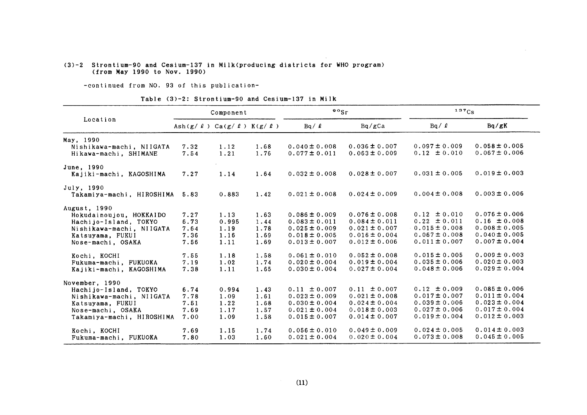#### (3)-2 Strontium-90 &nd Cesium-137in Milk(PrOducing・districts for WHO program) (from 織ay1990 to Nov.1990)

-continued from NO. 93 of this publication-

#### Table (3)-2: Strontium-90 and Cesium-137 in Milk

|                           |                                              | Component |      | $\frac{90}{s}$    |                   | 137Cs             |                   |  |
|---------------------------|----------------------------------------------|-----------|------|-------------------|-------------------|-------------------|-------------------|--|
| Location                  | Ash(g/ $\ell$ ) Ca(g/ $\ell$ ) K(g/ $\ell$ ) |           |      | $Bq / \ell$       | Bq/gCa            | $Bq / \ell$       | Bq/gK             |  |
| May, 1990                 |                                              |           |      |                   |                   |                   |                   |  |
| Nishikawa-machi, NIIGATA  | 7.32                                         | 1.12      | 1.68 | $0.040 \pm 0.008$ | $0.036 \pm 0.007$ | $0.097 \pm 0.009$ | $0.058 \pm 0.005$ |  |
| Hikawa-machi, SHIMANE     | 7.54                                         | 1.21      | 1.76 | $0.077 \pm 0.011$ | $0.063 \pm 0.009$ | $0.12 \pm 0.010$  | $0.067 \pm 0.006$ |  |
| June, 1990                |                                              |           |      |                   |                   |                   |                   |  |
| Kajiki-machi, KAGOSHIMA   | 7.27                                         | 1.14      | 1.64 | $0.032 \pm 0.008$ | $0.028 \pm 0.007$ | $0.031 \pm 0.005$ | $0.019 \pm 0.003$ |  |
| July, 1990                |                                              |           |      |                   |                   |                   |                   |  |
| Takamiya-machi, HIROSHIMA | 5.83                                         | 0.883     | 1.42 | $0.021 \pm 0.008$ | $0.024 \pm 0.009$ | $0.004 \pm 0.008$ | $0.003 \pm 0.006$ |  |
| August, 1990              |                                              |           |      |                   |                   |                   |                   |  |
| Hokudainoujou, HOKKAIDO   | 7.27                                         | 1.13      | 1.63 | $0.086 \pm 0.009$ | $0.076 \pm 0.008$ | $0.12 \pm 0.010$  | $0.076 \pm 0.006$ |  |
| Hachijo-Island, TOKYO     | 6.73                                         | 0.995     | 1.44 | $0.083 \pm 0.011$ | $0.084 \pm 0.011$ | $0.22 \pm 0.011$  | $0.16 \pm 0.008$  |  |
| Nishikawa-machi, NIIGATA  | 7.64                                         | 1.19      | 1.78 | $0.025 \pm 0.009$ | $0.021 \pm 0.007$ | $0.015 \pm 0.008$ | $0.008 \pm 0.005$ |  |
| Katsuyama, FUKUI          | 7.36                                         | 1.16      | 1.69 | $0.018 \pm 0.005$ | $0.016 \pm 0.004$ | $0.067 \pm 0.008$ | $0.040 \pm 0.005$ |  |
| Nose-machi, OSAKA         | 7.56                                         | 1.11      | 1.69 | $0.013 \pm 0.007$ | $0.012 \pm 0.006$ | $0.011 \pm 0.007$ | $0.007 \pm 0.004$ |  |
| Kochi, KOCHI              | 7.55                                         | 1.18      | 1.58 | $0.061 \pm 0.010$ | $0.052 \pm 0.008$ | $0.015 \pm 0.005$ | $0.009 \pm 0.003$ |  |
| Fukuma-machi, FUKUOKA     | 7.19                                         | 1.02      | 1.74 | $0.020 \pm 0.004$ | $0.019 \pm 0.004$ | $0.035 \pm 0.006$ | $0.020 \pm 0.003$ |  |
| Kajiki-machi, KAGOSHIMA   | 7.38                                         | 1.11      | 1.65 | $0.030 \pm 0.004$ | $0.027 \pm 0.004$ | $0.048 \pm 0.006$ | $0.029 \pm 0.004$ |  |
| November, 1990            |                                              |           |      |                   |                   |                   |                   |  |
| Hachijo-Island, TOKYO     | 6.74                                         | 0.994     | 1.43 | $0.11 \pm 0.007$  | $0.11 \pm 0.007$  | $0.12 \pm 0.009$  | $0.085 \pm 0.006$ |  |
| Nishikawa-machi, NIIGATA  | 7.78                                         | 1.09      | 1.61 | $0.023 \pm 0.009$ | $0.021 \pm 0.008$ | $0.017 \pm 0.007$ | $0.011 \pm 0.004$ |  |
| Katsuyama, FUKUI          | 7.51                                         | 1.22      | 1.68 | $0.030 \pm 0.004$ | $0.024 \pm 0.004$ | $0.039 \pm 0.006$ | $0.023 \pm 0.004$ |  |
| Nose-machi, OSAKA         | 7.69                                         | 1.17      | 1.57 | $0.021 \pm 0.004$ | $0.018 \pm 0.003$ | $0.027 \pm 0.006$ | $0.017 \pm 0.004$ |  |
| Takamiya-machi, HIROSHIMA | 7.00                                         | 1.09      | 1.58 | $0.015 \pm 0.007$ | $0.014 \pm 0.007$ | $0.019 \pm 0.004$ | $0.012 \pm 0.003$ |  |
| Kochi, KOCHI              | 7.69                                         | 1.15      | 1.74 | $0.056 \pm 0.010$ | $0.049 \pm 0.009$ | $0.024 \pm 0.005$ | $0.014 \pm 0.003$ |  |
| Fukuma-machi, FUKUOKA     | 7.80                                         | 1.03      | 1.60 | $0.021 \pm 0.004$ | $0.020 \pm 0.004$ | $0.073 \pm 0.008$ | $0.045 \pm 0.005$ |  |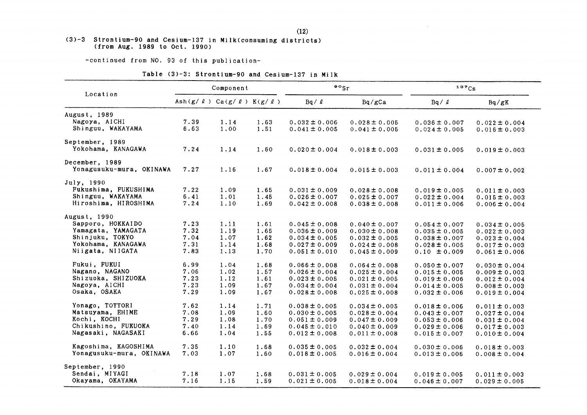#### (3)-3 Strontium-90 and Cesium-137 in Milk(consuming districts) (from Aug.1989 to Oet.1990)

-COntinued from NO.93 0f this publication-

|                          |                                                 | Component |      | $\bullet \circ$ <sub>Sr</sub> |                   | 137Cs             |                   |  |
|--------------------------|-------------------------------------------------|-----------|------|-------------------------------|-------------------|-------------------|-------------------|--|
| Location                 | Ash $(g / \ell)$ Ca $(g / \ell)$ K $(g / \ell)$ |           |      | $Bq / \ell$                   | Bq/gCa            | $Bq / \ell$       | Bq/gK             |  |
| August, 1989             |                                                 |           |      |                               |                   |                   |                   |  |
| Nagoya, AICHI            | 7.39                                            | 1.14      | 1.63 | $0.032 \pm 0.006$             | $0.028 \pm 0.005$ | $0.036 \pm 0.007$ | $0.022 \pm 0.004$ |  |
| Shinguu, WAKAYAMA        | 6.63                                            | 1.00      | 1.51 | $0.041 \pm 0.005$             | $0.041 \pm 0.005$ | $0.024 \pm 0.005$ | $0.016 \pm 0.003$ |  |
| September, 1989          |                                                 |           |      |                               |                   |                   |                   |  |
| Yokohama, KANAGAWA       | 7.24                                            | 1.14      | 1.60 | $0.020 \pm 0.004$             | $0.018 \pm 0.003$ | $0.031 \pm 0.005$ | $0.019 \pm 0.003$ |  |
| December, 1989           |                                                 |           |      |                               |                   |                   |                   |  |
| Yonagusuku-mura, OKINAWA | 7.27                                            | 1.16      | 1.67 | $0.018 \pm 0.004$             | $0.015 \pm 0.003$ | $0.011 \pm 0.004$ | $0.007 \pm 0.002$ |  |
| July, 1990               |                                                 |           |      |                               |                   |                   |                   |  |
| Fukushima, FUKUSHIMA     | 7.22                                            | 1.09      | 1.65 | $0.031 \pm 0.009$             | $0.028 \pm 0.008$ | $0.019 \pm 0.005$ | $0.011 \pm 0.003$ |  |
| Shinguu, WAKAYAMA        | 6.41                                            | 1.01      | 1.45 | $0.026 \pm 0.007$             | $0.025 \pm 0.007$ | $0.022 \pm 0.004$ | $0.015 \pm 0.003$ |  |
| Hiroshima, HIROSHIMA     | 7.24                                            | 1.10      | 1.69 | $0.042 \pm 0.008$             | $0.038 \pm 0.008$ | $0.011 \pm 0.006$ | $0.006 \pm 0.004$ |  |
| August, 1990             |                                                 |           |      |                               |                   |                   |                   |  |
| Sapporo, HOKKAIDO        | 7.23                                            | 1.11      | 1.61 | $0.045 \pm 0.008$             | $0.040 \pm 0.007$ | $0.054 \pm 0.007$ | $0.034 \pm 0.005$ |  |
| Yamagata, YAMAGATA       | 7.32                                            | 1.19      | 1.65 | $0.036 \pm 0.009$             | $0.030 \pm 0.008$ | $0.035 \pm 0.005$ | $0.022 \pm 0.003$ |  |
| Shinjuku, TOKYO          | 7.04                                            | 1.07      | 1.62 | $0.034 \pm 0.005$             | $0.032 \pm 0.005$ | $0.038 \pm 0.007$ | $0.023 \pm 0.004$ |  |
| Yokohama, KANAGAWA       | 7.31                                            | 1.14      | 1.68 | $0.027 \pm 0.009$             | $0.024 \pm 0.008$ | $0.028 \pm 0.005$ | $0.017 \pm 0.003$ |  |
| Niigata, NIIGATA         | 7.83                                            | 1.13      | 1.70 | $0.051 \pm 0.010$             | $0.045 \pm 0.009$ | $0.10 \pm 0.009$  | $0.061 \pm 0.006$ |  |
| Fukui, FUKUI             | 6.99                                            | 1.04      | 1.68 | $0.066 \pm 0.008$             | $0.064 \pm 0.008$ | $0.050 \pm 0.007$ | $0.030 \pm 0.004$ |  |
| Nagano, NAGANO           | 7.06                                            | 1.02      | 1.57 | $0.026 \pm 0.004$             | $0.025 \pm 0.004$ | $0.015 \pm 0.005$ | $0.009 \pm 0.003$ |  |
| Shizuoka, SHIZUOKA       | 7.23                                            | 1.12      | 1.61 | $0.023 \pm 0.005$             | $0.021 \pm 0.005$ | $0.019 \pm 0.006$ | $0.012 \pm 0.004$ |  |
| Nagoya, AICHI            | 7.23                                            | 1.09      | 1.67 | $0.034 \pm 0.004$             | $0.031 \pm 0.004$ | $0.014 \pm 0.005$ | $0.008 \pm 0.003$ |  |
| Osaka, OSAKA             | 7.29                                            | 1.09      | 1.67 | $0.028 \pm 0.008$             | $0.025 \pm 0.008$ | $0.032 \pm 0.006$ | $0.019 \pm 0.004$ |  |
| Yonago, TOTTORI          | 7.62                                            | 1.14      | 1.71 | $0.038 \pm 0.005$             | $0.034 \pm 0.005$ | $0.018 \pm 0.006$ | $0.011 \pm 0.003$ |  |
| Matsuyama, EHIME         | 7.08                                            | 1.09      | 1.60 | $0.030 \pm 0.005$             | $0.028 \pm 0.004$ | $0.043 \pm 0.007$ | $0.027 \pm 0.004$ |  |
| Kochi, KOCHI             | 7.29                                            | 1.08      | 1.70 | $0.051 \pm 0.009$             | $0.047 \pm 0.009$ | $0.053 \pm 0.006$ | $0.031 \pm 0.004$ |  |
| Chikushino, FUKUOKA      | 7.40                                            | 1.14      | 1.69 | $0.045 \pm 0.010$             | $0.040 \pm 0.009$ | $0.029 \pm 0.006$ | $0.017 \pm 0.003$ |  |
| Nagasaki, NAGASAKI       | 6.66                                            | 1.04      | 1.55 | $0.012 \pm 0.008$             | $0.011 \pm 0.008$ | $0.015 \pm 0.007$ | $0.010 \pm 0.004$ |  |
| Kagoshima, KAGOSHIMA     | 7.35                                            | 1.10      | 1.68 | $0.035 \pm 0.005$             | $0.032 \pm 0.004$ | $0.030 \pm 0.006$ | $0.018 \pm 0.003$ |  |
| Yonagusuku-mura, OKINAWA | 7.03                                            | 1.07      | 1.60 | $0.018 \pm 0.005$             | $0.016 \pm 0.004$ | $0.013 \pm 0.006$ | $0.008 \pm 0.004$ |  |
| September, 1990          |                                                 |           |      |                               |                   |                   |                   |  |
| Sendai, MIYAGI           | 7.18                                            | 1.07      | 1.68 | $0.031 \pm 0.005$             | $0.029 \pm 0.004$ | $0.019 \pm 0.005$ | $0.011 \pm 0.003$ |  |
| Okayama, OKAYAMA         | 7.16                                            | 1.15      | 1.59 | $0.021 \pm 0.005$             | $0.018 \pm 0.004$ | $0.046 \pm 0.007$ | $0.029 \pm 0.005$ |  |

|  | Table (3)-3: Strontium-90 and Cesium-137 in Milk |  |  |  |
|--|--------------------------------------------------|--|--|--|
|  |                                                  |  |  |  |

 $\bar{\mathcal{A}}$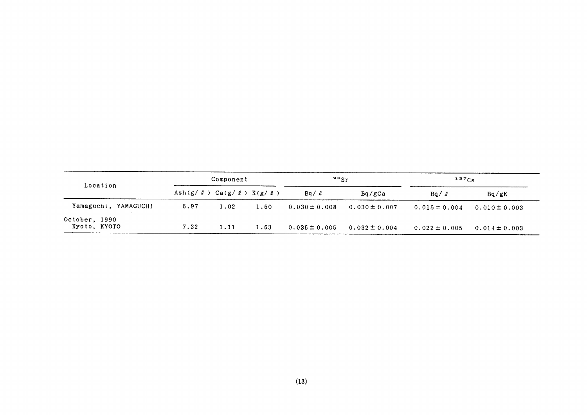| Location                      |      | Component                                       |      | $\mathbf{P}^{\circ}$ Sr |                   | $137C_S$          |                   |  |
|-------------------------------|------|-------------------------------------------------|------|-------------------------|-------------------|-------------------|-------------------|--|
|                               |      | Ash $(g / \ell)$ Ca $(g / \ell)$ K $(g / \ell)$ |      | $Bq / \ell$             | Bq/gCa            | Bq / l            | Ba/gK             |  |
| Yamaguchi, YAMAGUCHI          | 6.97 | 1.02                                            | 1.60 | $0.030 \pm 0.008$       | $0.030 \pm 0.007$ | $0.016 \pm 0.004$ | $0.010 \pm 0.003$ |  |
| October, 1990<br>Kyoto, KYOTO | 7.32 | 1.11                                            | 1.63 | $0.035 \pm 0.005$       | $0.032 \pm 0.004$ | $0.022 \pm 0.005$ | $0.014 \pm 0.003$ |  |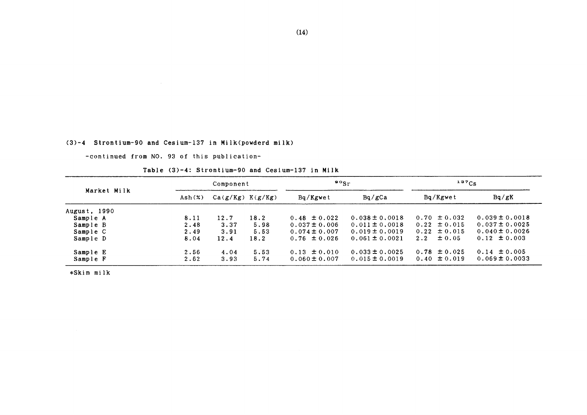$(3)-4$  Strontium-90 and Cesium-137 in Milk(powderd milk)

-COntinued from NO.93 0f this publication-

Table (3)-4: Strontium-90 and Cesium-137 in Milk

|              | Component |      |                      | $\mathbf{P} \circ \mathbf{S}$ r |                    | 137Cs             |                    |  |
|--------------|-----------|------|----------------------|---------------------------------|--------------------|-------------------|--------------------|--|
| Market Milk  | Ash(x)    |      | $Ca(g/Kg)$ $K(g/Kg)$ | Bq/Kgwet                        | Bq/gCa             | Bq/Kgwet          | Bq/gK              |  |
| August, 1990 |           |      |                      |                                 |                    |                   |                    |  |
| Sample A     | 8.11      | 12.7 | 18.2                 | $0.48 \pm 0.022$                | $0.038 \pm 0.0018$ | $0.70 \pm 0.032$  | $0.039 \pm 0.0018$ |  |
| Sample B     | 2.48      | 3.37 | 5.98                 | $0.037 \pm 0.006$               | $0.011 \pm 0.0018$ | $0.22 \pm 0.015$  | $0.037 \pm 0.0025$ |  |
| Sample C     | 2.49      | 3.91 | 5.53                 | $0.074 \pm 0.007$               | $0.019 \pm 0.0019$ | $0.22 \pm 0.015$  | $0.040 \pm 0.0026$ |  |
| Sample D     | 8.04      | 12.4 | 18.2                 | $0.76 \pm 0.026$                | $0.061 \pm 0.0021$ | $\pm 0.05$<br>2.2 | $0.12 \pm 0.003$   |  |
| Sample E     | 2.56      | 4.04 | 5.53                 | $0.13 \pm 0.010$                | $0.033 \pm 0.0025$ | $0.78 \pm 0.025$  | $0.14 \pm 0.005$   |  |
| Sample F     | 2.62      | 3.93 | 5.74                 | $0.060 \pm 0.007$               | $0.015 \pm 0.0019$ | $0.40 \pm 0.019$  | $0.069 \pm 0.0033$ |  |

\*Skim milk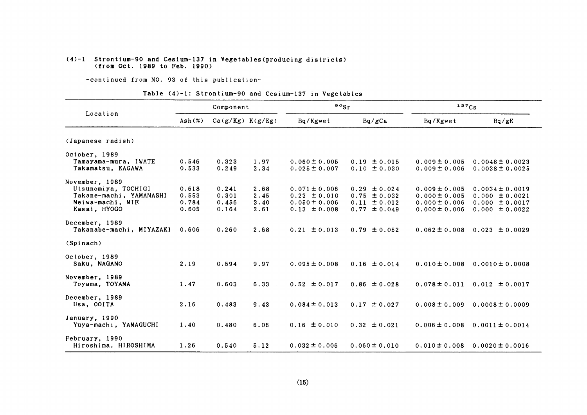#### $(4)-1$  Strontium-90 and Cesium-137 in Vegetables(producing districts) (from Oct.1989 to Feb.1990)

-COntinued from NO.93 0f this publication-

#### Table  $(4)-1$ : Strontium-90 and Cesium-137 in Vegetables

|                                           |                | Component      |                      | $\frac{90}{s}$ r                       |                                      | 137Cs                                  |                                            |  |
|-------------------------------------------|----------------|----------------|----------------------|----------------------------------------|--------------------------------------|----------------------------------------|--------------------------------------------|--|
| Location                                  | Ash(X)         |                | $Ca(g/Kg)$ $K(g/Kg)$ | Bq/Kgwet                               | Bq/gCa                               | Bq/Kgwet                               | Bq/gK                                      |  |
| (Japanese radish)                         |                |                |                      |                                        |                                      |                                        |                                            |  |
| October, 1989                             |                |                |                      |                                        |                                      |                                        |                                            |  |
| Tamayama-mura, IWATE<br>Takamatsu, KAGAWA | 0.546<br>0.533 | 0.323<br>0.249 | 1.97<br>2.34         | $0.060 \pm 0.005$<br>$0.025 \pm 0.007$ | $0.19 \pm 0.015$<br>$0.10 \pm 0.030$ | $0.009 \pm 0.005$<br>$0.009 \pm 0.006$ | $0.0048 \pm 0.0023$<br>$0.0038 \pm 0.0025$ |  |
| November, 1989                            |                |                |                      |                                        |                                      |                                        |                                            |  |
| Utsunomiya, TOCHIGI                       | 0.618          | 0.241          | 2.68                 | $0.071 \pm 0.006$                      | $0.29 \pm 0.024$                     | $0.009 \pm 0.005$                      | $0.0034 \pm 0.0019$                        |  |
| Takane-machi, YAMANASHI                   | 0.553          | 0.301          | 2.45                 | $0.23 \pm 0.010$                       | $0.75 \pm 0.032$                     | $0.000 \pm 0.005$                      | $0.000 \pm 0.0021$                         |  |
| Meiwa-machi, MIE<br>Kasai, HYOGO          | 0.784<br>0.605 | 0.456<br>0.164 | 3.40<br>2.61         | $0.050 \pm 0.006$<br>$0.13 \pm 0.008$  | $0.11 \pm 0.012$<br>$0.77 \pm 0.049$ | $0.000 \pm 0.006$<br>$0.000 \pm 0.006$ | $0.000 \pm 0.0017$<br>$0.000 \pm 0.0022$   |  |
| December, 1989                            |                |                |                      |                                        |                                      |                                        |                                            |  |
| Takanabe-machi, MIYAZAKI                  | 0.606          | 0.260          | 2.68                 | $0.21 \pm 0.013$                       | $0.79 \pm 0.052$                     | $0.062 \pm 0.008$                      | $0.023 \pm 0.0029$                         |  |
| (Spinach)                                 |                |                |                      |                                        |                                      |                                        |                                            |  |
| October, 1989                             |                |                |                      |                                        |                                      |                                        |                                            |  |
| Saku, NAGANO                              | 2.19           | 0.594          | 9.97                 | $0.095 \pm 0.008$                      | $0.16 \pm 0.014$                     | $0.010 \pm 0.008$                      | $0.0010 \pm 0.0008$                        |  |
| November, 1989                            |                |                |                      |                                        |                                      |                                        |                                            |  |
| Toyama, TOYAMA                            | 1.47           | 0.603          | 6.33                 | $0.52 \pm 0.017$                       | $0.86 \pm 0.028$                     | $0.078 \pm 0.011$                      | $0.012 \pm 0.0017$                         |  |
| December, 1989                            |                |                |                      |                                        |                                      |                                        |                                            |  |
| Usa, OOITA                                | 2.16           | 0.483          | 9.43                 | $0.084 \pm 0.013$                      | $0.17 \pm 0.027$                     | $0.008 \pm 0.009$                      | $0.0008 \pm 0.0009$                        |  |
| January, 1990                             |                |                |                      |                                        |                                      |                                        |                                            |  |
| Yuya-machi, YAMAGUCHI                     | 1.40           | 0.480          | 6.06                 | $0.16 \pm 0.010$                       | $0.32 \pm 0.021$                     | $0.006 \pm 0.008$                      | $0.0011 \pm 0.0014$                        |  |
| February, 1990                            |                |                |                      |                                        |                                      |                                        |                                            |  |
| Hiroshima, HIROSHIMA                      | 1.26           | 0.540          | 5.12                 | $0.032 \pm 0.006$                      | $0.060 \pm 0.010$                    | $0.010 \pm 0.008$                      | $0.0020 \pm 0.0016$                        |  |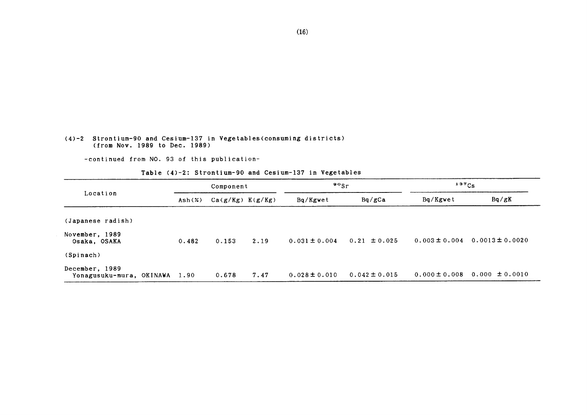#### (4)-2 Strontium-90 and Cesium-137in Vegetables(COnSuming districts) (from Nov.1989 to Dec.1989)

-COntinued from NO.93 0f this publication-

Table (4)-2: Strontium-90 and Cesium-137 in Vegetables

|                                            |                           | Component            |      | $\frac{90}{5}$    |                   | $137C_S$          |                     |  |
|--------------------------------------------|---------------------------|----------------------|------|-------------------|-------------------|-------------------|---------------------|--|
| Location                                   | $\text{Ash}(\mathcal{X})$ | $Ca(g/Kg)$ $K(g/Kg)$ |      | Bq/Kgwet          | Bq/gCa            | Bq/Kgwet          | Bq/gK               |  |
| (Japanese radish)                          |                           |                      |      |                   |                   |                   |                     |  |
| November, 1989<br>Osaka, OSAKA             | 0.482                     | 0.153                | 2.19 | $0.031 \pm 0.004$ | $0.21 \pm 0.025$  | $0.003 \pm 0.004$ | $0.0013 \pm 0.0020$ |  |
| (Spinach)                                  |                           |                      |      |                   |                   |                   |                     |  |
| December, 1989<br>Yonagusuku-mura, OKINAWA | 1.90                      | 0.678                | 7.47 | $0.028 \pm 0.010$ | $0.042 \pm 0.015$ | $0.000 \pm 0.008$ | $0.000 \pm 0.0010$  |  |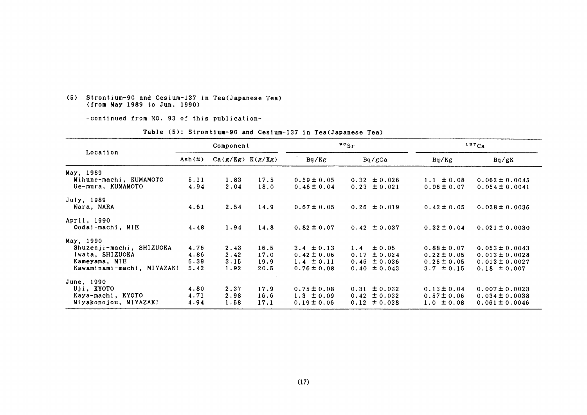#### (5) Strontium-90 and Cesium-137 in Tea(Japanese Tea) (from Hay1989 to Jun.1990)

一COntinued from NO.93 0f this publication-

|                            |                 | Component            |      |                 | $\frac{90}{5}$    |                 | $137C_S$           |  |  |
|----------------------------|-----------------|----------------------|------|-----------------|-------------------|-----------------|--------------------|--|--|
| Location                   | $\text{Ash}(x)$ | $Ca(g/Kg)$ $K(g/Kg)$ |      | Bq/Kg           | Bq/gCa            | Bq/Kg           | Bq/gK              |  |  |
| May, 1989                  |                 |                      |      |                 |                   |                 |                    |  |  |
| Mihune-machi, KUMAMOTO     | 5.11            | 1,83                 | 17.5 | $0.59 \pm 0.05$ | $0.32 \pm 0.026$  | $1.1 \pm 0.08$  | $0.062 \pm 0.0045$ |  |  |
| Ue-mura, KUMAMOTO          | 4.94            | 2.04                 | 18.0 | $0.46 \pm 0.04$ | $0.23 \pm 0.021$  | $0.96 \pm 0.07$ | $0.054 \pm 0.0041$ |  |  |
| July, 1989                 |                 |                      |      |                 |                   |                 |                    |  |  |
| Nara, NARA                 | 4.61            | 2.54                 | 14.9 | $0.67 \pm 0.05$ | $0.26 \pm 0.019$  | $0.42 \pm 0.05$ | $0.028 \pm 0.0036$ |  |  |
| April, 1990                |                 |                      |      |                 |                   |                 |                    |  |  |
| Oodai-machi, MIE           | 4.48            | 1.94                 | 14.8 | $0.82 \pm 0.07$ | $0.42 \pm 0.037$  | $0.32 \pm 0.04$ | $0.021 \pm 0.0030$ |  |  |
| May, 1990                  |                 |                      |      |                 |                   |                 |                    |  |  |
| Shuzenji-machi, SHIZUOKA   | 4.76            | 2.43                 | 16.5 | 3.4 $\pm$ 0.13  | $\pm 0.05$<br>1.4 | $0.88 \pm 0.07$ | $0.053 \pm 0.0043$ |  |  |
| Iwata, SHIZUOKA            | 4.86            | 2.42                 | 17.0 | $0.42 \pm 0.06$ | ± 0.024<br>0.17   | $0.22 \pm 0.05$ | $0.013 \pm 0.0028$ |  |  |
| Kameyama, MIE              | 6.39            | 3.15                 | 19.9 | $1.4 \pm 0.11$  | $0.46 \pm 0.036$  | $0.26 \pm 0.05$ | $0.013 \pm 0.0027$ |  |  |
| Kawaminami-machi, MIYAZAKI | 5.42            | 1.92                 | 20.5 | $0.76 \pm 0.08$ | $0.40 \pm 0.043$  | $3.7 \pm 0.15$  | $0.18 \pm 0.007$   |  |  |
| June, 1990                 |                 |                      |      |                 |                   |                 |                    |  |  |
| Uji, KYOTO                 | 4.80            | 2.37                 | 17.9 | $0.75 \pm 0.08$ | $0.31 \pm 0.032$  | $0.13 \pm 0.04$ | $0.007 \pm 0.0023$ |  |  |
| Kaya-machi, KYOTO          | 4.71            | 2.98                 | 16.6 | $1.3 \pm 0.09$  | $0.42 \pm 0.032$  | $0.57 \pm 0.06$ | $0.034 \pm 0.0038$ |  |  |
| Miyakonojou, MIYAZAKI      | 4.94            | 1.58                 | 17.1 | $0.19 \pm 0.06$ | $0.12 \pm 0.038$  | $1.0 \pm 0.08$  | $0.061 \pm 0.0046$ |  |  |
|                            |                 |                      |      |                 |                   |                 |                    |  |  |

#### Table (5): Strontium-90 and Cesium-137 in Tea(Japanese Tea)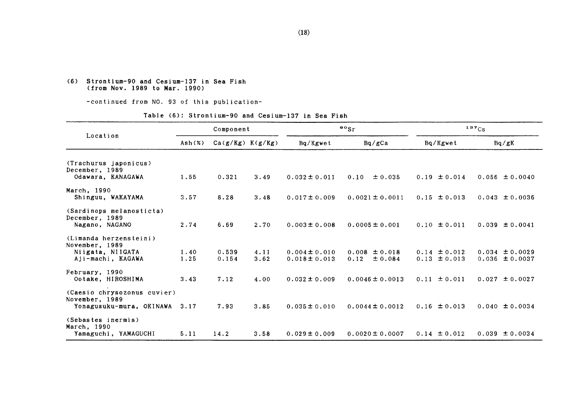#### (6) Strontium-90 and Cesium-137 in Sea Fish (from Nov.1989 to Mar.1990)

-COntinued from NO.93 0f this publication-

#### Table (6): Strontium-90 and Cesium-137 in Sea Fish

|                                               | Component |                      |      |                   | $\mathfrak{so}_{\mathrm{Sr}}$ | 137Cs            |                    |  |
|-----------------------------------------------|-----------|----------------------|------|-------------------|-------------------------------|------------------|--------------------|--|
| Location                                      | Ash(%)    | $Ca(g/Kg)$ $K(g/Kg)$ |      | Bq/Kgwet          | Bq/gCa                        | Bq/Kgwet         | Bq/gK              |  |
| (Trachurus japonicus)                         |           |                      |      |                   |                               |                  |                    |  |
| December, 1989<br>Odawara, KANAGAWA           | 1.55      | 0.321                | 3.49 | $0.032 \pm 0.011$ | 0.10<br>± 0.035               | $0.19 \pm 0.014$ | $0.056 \pm 0.0040$ |  |
| March, 1990                                   |           |                      |      |                   |                               |                  |                    |  |
| Shinguu, WAKAYAMA                             | 3.57      | 8.28                 | 3.48 | $0.017 \pm 0.009$ | $0.0021 \pm 0.0011$           | $0.15 \pm 0.013$ | $0.043 \pm 0.0036$ |  |
| (Sardinops melanosticta)<br>December, 1989    |           |                      |      |                   |                               |                  |                    |  |
| Nagano, NAGANO                                | 2.74      | 6.69                 | 2.70 | $0.003 \pm 0.008$ | $0.0005 \pm 0.001$            | $0.10 \pm 0.011$ | $0.039 \pm 0.0041$ |  |
| (Limanda herzensteini)<br>November, 1989      |           |                      |      |                   |                               |                  |                    |  |
| Niigata, NIIGATA                              | 1.40      | 0.539                | 4.11 | $0.004 \pm 0.010$ | $0.008 \pm 0.018$             | $0.14 \pm 0.012$ | $0.034 \pm 0.0029$ |  |
| Aji-machi, KAGAWA                             | 1.25      | 0.154                | 3.62 | $0.018 \pm 0.013$ | 0.12<br>± 0.084               | $0.13 \pm 0.013$ | $0.036 \pm 0.0037$ |  |
| February, 1990                                |           |                      |      |                   |                               |                  |                    |  |
| Ootake, HIROSHIMA                             | 3.43      | 7.12                 | 4.00 | $0.032 \pm 0.009$ | $0.0046 \pm 0.0013$           | $0.11 \pm 0.011$ | $0.027 \pm 0.0027$ |  |
| (Caesio chrysozonus cuvier)<br>November, 1989 |           |                      |      |                   |                               |                  |                    |  |
| Yonagusuku-mura, OKINAWA                      | 3.17      | 7.93                 | 3.85 | $0.035 \pm 0.010$ | $0.0044 \pm 0.0012$           | $0.16 \pm 0.013$ | $0.040 \pm 0.0034$ |  |
| (Sebastes inermis)<br>March, 1990             |           |                      |      |                   |                               |                  |                    |  |
| Yamaguchi, YAMAGUCHI                          | 5.11      | 14.2                 | 3.58 | $0.029 \pm 0.009$ | $0.0020 \pm 0.0007$           | $0.14 \pm 0.012$ | $0.039 \pm 0.0034$ |  |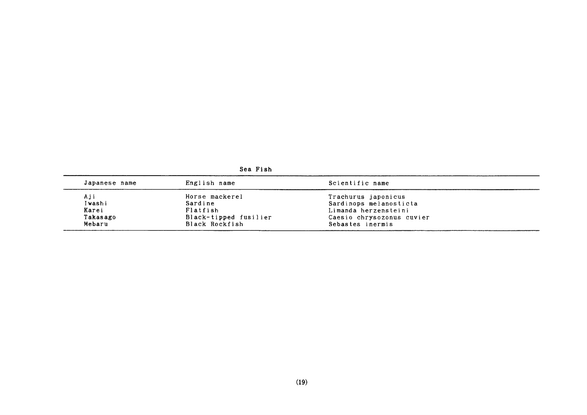| Japanese name | English name          | Scientific name           |  |
|---------------|-----------------------|---------------------------|--|
| Aji           | Horse mackerel        | Trachurus japonicus       |  |
| Iwashi        | Sardine               | Sardinops melanosticta    |  |
| Karei         | Flatfish              | Limanda herzensteini      |  |
| Takasago      | Black-tipped fusilier | Caesio chrysozonus cuvier |  |
| Mebaru        | Black Rockfish        | Sebastes inermis          |  |

Sea Fish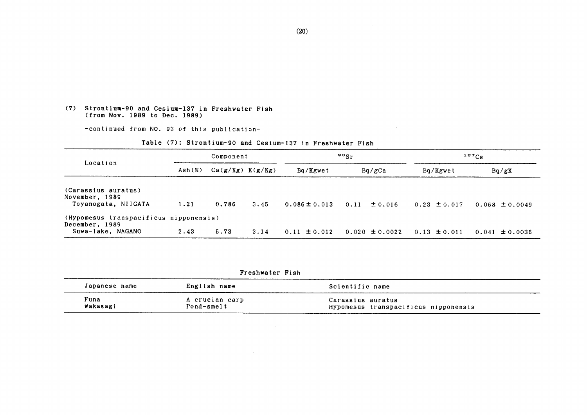#### (7) Strontium-90 and Cesium-137in Freshwater Fish (from Nov.1989 to Dec.1989)

-continued from NO. 93 of this publication-

#### Table (7): Strontium-90 and Cesium-137 in Freshwater Fish

|                                                              |        | Component            |      |                   | $\frac{90}{5}$ |                    |                  | $137C_S$           |  |  |
|--------------------------------------------------------------|--------|----------------------|------|-------------------|----------------|--------------------|------------------|--------------------|--|--|
| Location                                                     | Ash(x) | $Ca(g/Kg)$ $K(g/Kg)$ |      | Bq/Kgwet          |                | Bq/gCa             | Bq/Kgwet         | Bq/gK              |  |  |
| (Carassius auratus)<br>November, 1989<br>Toyanogata, NIIGATA | 1.21   | 0.786                | 3.45 | $0.086 \pm 0.013$ | 0.11           | $\pm 0.016$        | $0.23 \pm 0.017$ | $0.068 \pm 0.0049$ |  |  |
| (Hypomesus transpacificus nipponensis)<br>December, 1989     |        |                      |      |                   |                |                    |                  |                    |  |  |
| Suwa-lake, NAGANO                                            | 2.43   | 5.73                 | 3.14 | $0.11 \pm 0.012$  |                | $0.020 \pm 0.0022$ | $0.13 \pm 0.011$ | $0.041 \pm 0.0036$ |  |  |

|  |  |  |  |  |  |  |  | Freshwater |  | Fish |  |
|--|--|--|--|--|--|--|--|------------|--|------|--|
|--|--|--|--|--|--|--|--|------------|--|------|--|

| Japanese name    | English name                 | Scientific name                                           |
|------------------|------------------------------|-----------------------------------------------------------|
| Funa<br>Wakasagi | A crucian carp<br>Pond-smelt | Carassius auratus<br>Hypomesus transpacificus nipponensis |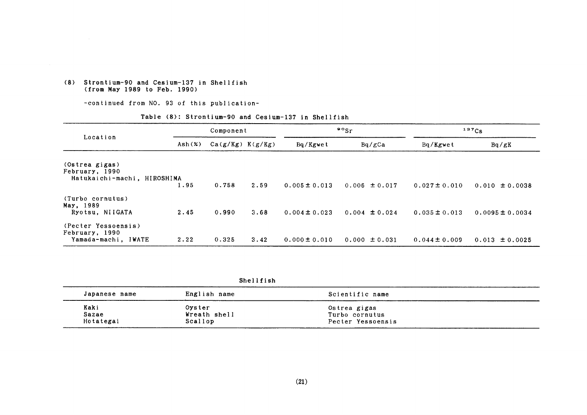#### (8) Strontium-90 and Cesium-137in Shellfish (from May 1989 to Feb. 1990)

-COntinued from NO.93 0f this publication-

#### Table (8): Strontium-90 and Cesium-137 in Shellfish

|                                                                 | Component |                      |      | $\frac{80}{s}$    |                   | 137C <sub>S</sub> |                     |
|-----------------------------------------------------------------|-----------|----------------------|------|-------------------|-------------------|-------------------|---------------------|
| Location                                                        | Ash(x)    | $Ca(g/Kg)$ $K(g/Kg)$ |      | Bq/Kgwet          | Bq/gCa            | Bq/Kgwet          | Bq/gK               |
| (Ostrea gigas)<br>February, 1990<br>Hatukaichi-machi, HIROSHIMA | 1.95      | 0.758                |      |                   |                   |                   |                     |
|                                                                 |           |                      | 2.59 | $0.005 \pm 0.013$ | $0.006 \pm 0.017$ | $0.027 \pm 0.010$ | $0.010 \pm 0.0038$  |
| (Turbo cornutus)<br>May, 1989<br>Ryotsu, NIIGATA                | 2.45      | 0.990                | 3.68 | $0.004 \pm 0.023$ | $0.004 \pm 0.024$ | $0.035 \pm 0.013$ | $0.0095 \pm 0.0034$ |
| (Pecter Yessoensis)                                             |           |                      |      |                   |                   |                   |                     |
| February, 1990<br>Yamada-machi, IWATE                           | 2.22      | 0.325                | 3.42 | $0.000 \pm 0.010$ | $0.000 \pm 0.031$ | $0.044 \pm 0.009$ | $0.013 \pm 0.0025$  |

Shellfish

| Japanese name | English name | Scientific name   |  |
|---------------|--------------|-------------------|--|
| Kaki          | Oyster       | Ostrea gigas      |  |
| Sazae         | Wreath shell | Turbo cornutus    |  |
| Hotategai     | Scallop      | Pecter Yessoensis |  |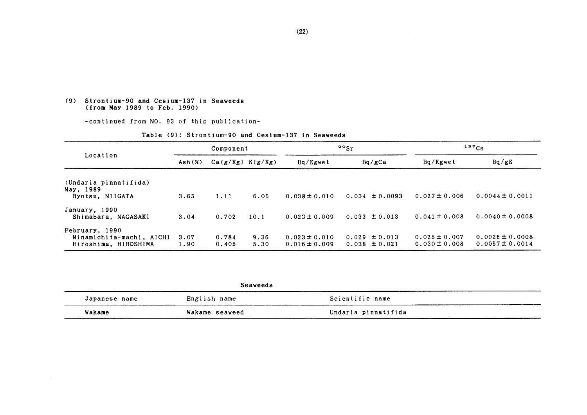#### (9) Strontium-90 and Cesium-137in Seaveeds (from May 1989 to Feb. 1990)

-COntinued from NO.93 0f this publication-

|                                                                    | Component       |                      |              | 90 <sub>5r</sub>                       |                                        | $137C_S$                               |                                            |
|--------------------------------------------------------------------|-----------------|----------------------|--------------|----------------------------------------|----------------------------------------|----------------------------------------|--------------------------------------------|
| Location                                                           | $\text{Ash}(x)$ | $Ca(g/Kg)$ $K(g/Kg)$ |              | Bq/Kgwet                               | Bq/gCa                                 | Bq/Kgwet                               | Bq/gK                                      |
| (Undaria pinnatifida)<br>May, 1989<br>Ryotsu, NIIGATA              | 3.65            | 1.11                 | 6.05         | $0.038 \pm 0.010$                      | $0.034 \pm 0.0093$                     | $0.027 \pm 0.006$                      | $0.0044 \pm 0.0011$                        |
| January, 1990<br>Shimabara, NAGASAKI                               | 3.04            | 0.702                | 10.1         | $0.023 \pm 0.009$                      | $0.033 \pm 0.013$                      | $0.041 \pm 0.008$                      | $0.0040 \pm 0.0008$                        |
| February, 1990<br>Minamichita-machi, AICHI<br>Hiroshima, HIROSHIMA | 3.07<br>1.90    | 0.784<br>0.405       | 9.36<br>5.30 | $0.023 \pm 0.010$<br>$0.016 \pm 0.009$ | $0.029 \pm 0.013$<br>$0.038 \pm 0.021$ | $0.025 \pm 0.007$<br>$0.030 \pm 0.008$ | $0.0026 \pm 0.0008$<br>$0.0057 \pm 0.0014$ |

|  | Table (9): Strontium-90 and Cesium-137 in Seaweeds |  |  |
|--|----------------------------------------------------|--|--|

|               | Seaweeds       |                     |  |  |
|---------------|----------------|---------------------|--|--|
| Japanese name | English name   | Scientific name     |  |  |
| Wakame        | Wakame seaweed | Undaria pinnatifida |  |  |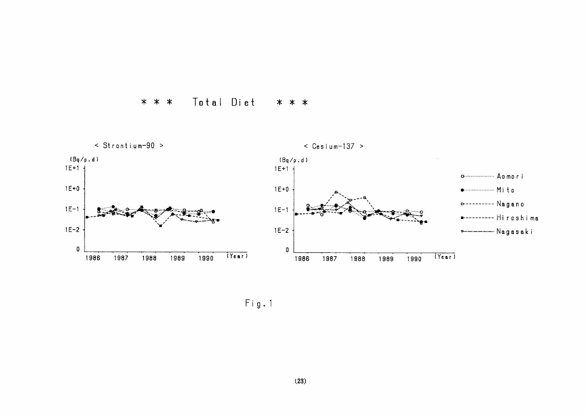



 $Fig. 1$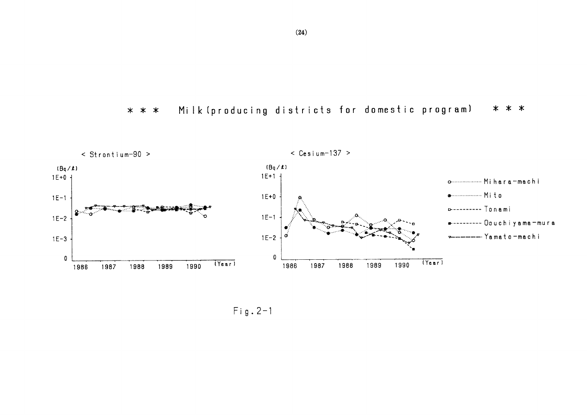Milk (producing districts for domestic program) \* \* \*  $* * *$ 



 $Fig. 2-1$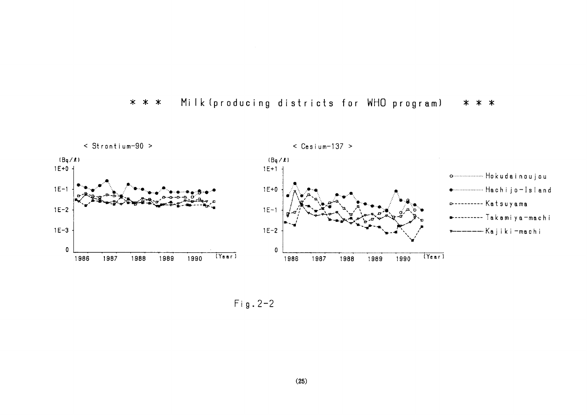

#### Milk (producing districts for WHO program) \* \* \* \* \* \*

 $Fig. 2-2$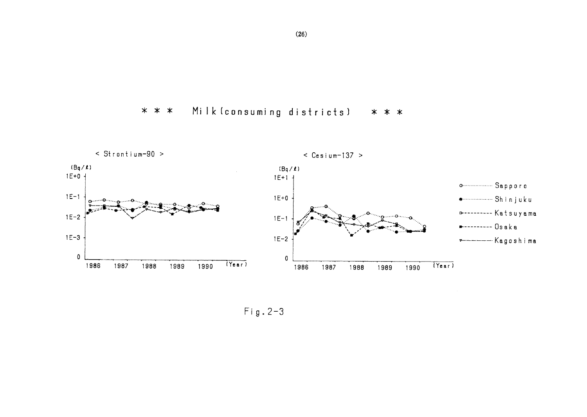Milk (consuming districts)  $* * *$ \* \* \*



 $Fig. 2-3$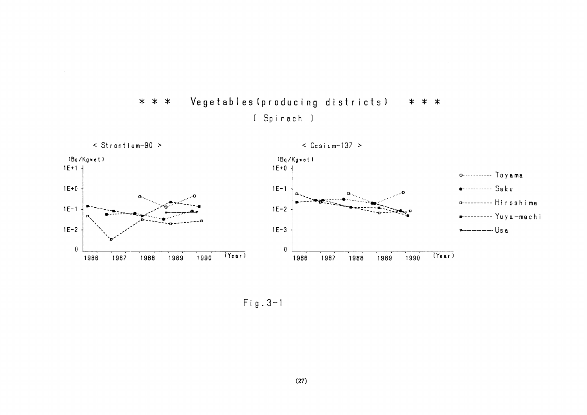

Vegetables (producing districts)  $* * *$ \* \* \* [ Spinach ]

 $\sim$ 

 $Fig. 3-1$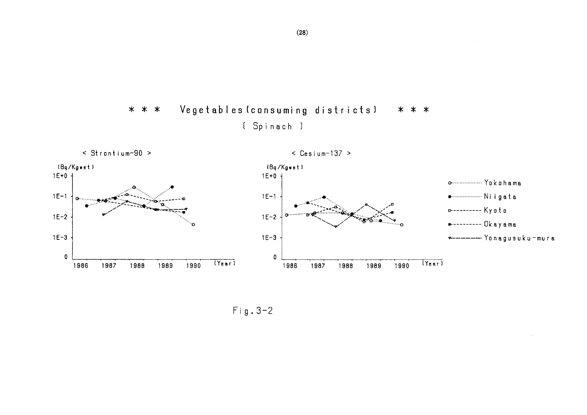Vegetables (consuming districts) \* \* \* \* \* \* [ Spinach ]



 $Fig. 3-2$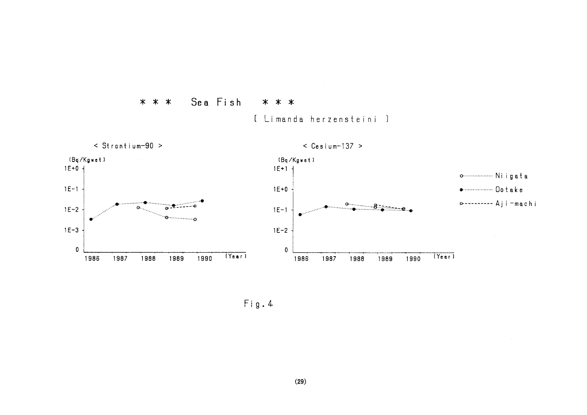

[ Limanda herzensteini ]

\* \* \*

Fig. 4

Sea Fish

 $* * *$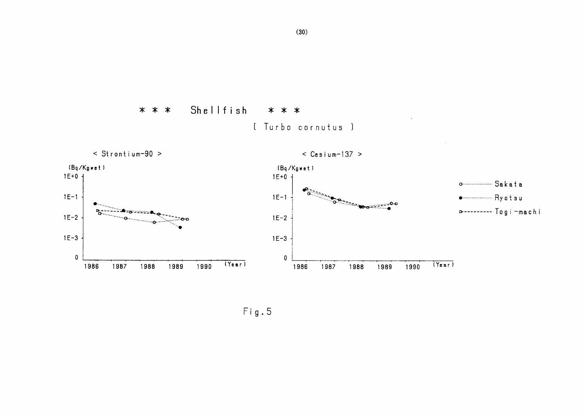

 $Fig. 5$ 

Shellfish

 $* * *$ 

\* \* \*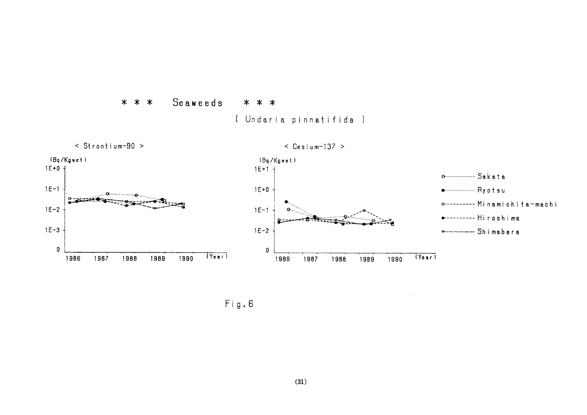

 $Fig. 6$